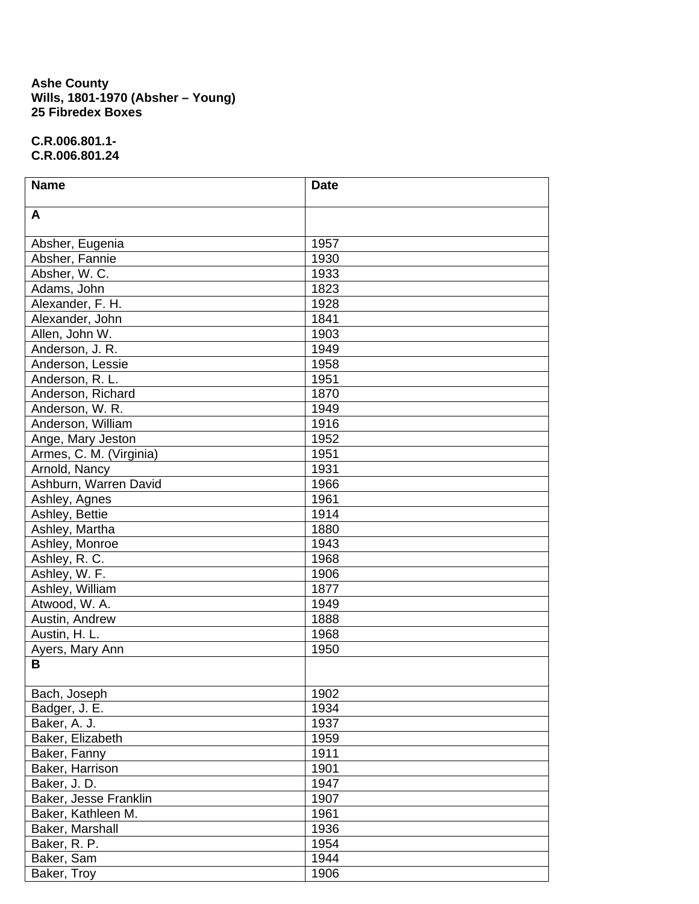## **Ashe County Wills, 1801-1970 (Absher – Young) 25 Fibredex Boxes**

**C.R.006.801.1- C.R.006.801.24** 

| <b>Name</b>             | <b>Date</b> |
|-------------------------|-------------|
| A                       |             |
| Absher, Eugenia         | 1957        |
| Absher, Fannie          | 1930        |
| Absher, W. C.           | 1933        |
| Adams, John             | 1823        |
| Alexander, F. H.        | 1928        |
| Alexander, John         | 1841        |
| Allen, John W.          | 1903        |
| Anderson, J. R.         | 1949        |
| Anderson, Lessie        | 1958        |
| Anderson, R. L.         | 1951        |
| Anderson, Richard       | 1870        |
| Anderson, W. R.         | 1949        |
| Anderson, William       | 1916        |
| Ange, Mary Jeston       | 1952        |
| Armes, C. M. (Virginia) | 1951        |
| Arnold, Nancy           | 1931        |
| Ashburn, Warren David   | 1966        |
| Ashley, Agnes           | 1961        |
| Ashley, Bettie          | 1914        |
| Ashley, Martha          | 1880        |
| Ashley, Monroe          | 1943        |
| Ashley, R. C.           | 1968        |
| Ashley, W. F.           | 1906        |
| Ashley, William         | 1877        |
| Atwood, W. A.           | 1949        |
| Austin, Andrew          | 1888        |
| Austin, H. L.           | 1968        |
| Ayers, Mary Ann         | 1950        |
| B                       |             |
| Bach, Joseph            | 1902        |
| Badger, J. E.           | 1934        |
| Baker, A. J.            | 1937        |
| Baker, Elizabeth        | 1959        |
| Baker, Fanny            | 1911        |
| Baker, Harrison         | 1901        |
| Baker, J. D.            | 1947        |
| Baker, Jesse Franklin   | 1907        |
| Baker, Kathleen M.      | 1961        |
| Baker, Marshall         | 1936        |
| Baker, R. P.            | 1954        |
| Baker, Sam              | 1944        |
| Baker, Troy             | 1906        |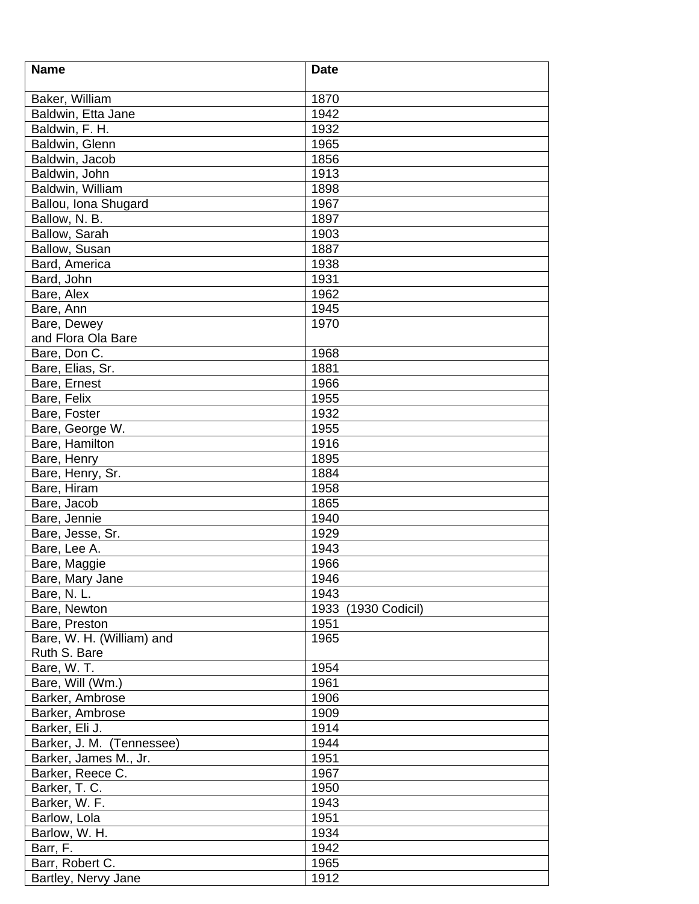| <b>Name</b>               | <b>Date</b>            |
|---------------------------|------------------------|
|                           |                        |
| Baker, William            | 1870                   |
| Baldwin, Etta Jane        | 1942                   |
| Baldwin, F. H.            | 1932                   |
| Baldwin, Glenn            | 1965                   |
| Baldwin, Jacob            | 1856                   |
| Baldwin, John             | 1913                   |
| Baldwin, William          | 1898                   |
| Ballou, Iona Shugard      | 1967                   |
| Ballow, N. B.             | 1897                   |
| Ballow, Sarah             | 1903                   |
| Ballow, Susan             | 1887                   |
| Bard, America             | 1938                   |
| Bard, John                | 1931                   |
| Bare, Alex                | 1962                   |
| Bare, Ann                 | 1945                   |
| Bare, Dewey               | 1970                   |
| and Flora Ola Bare        |                        |
| Bare, Don C.              | 1968                   |
| Bare, Elias, Sr.          | 1881                   |
| Bare, Ernest              | 1966                   |
| Bare, Felix               | 1955                   |
| Bare, Foster              | 1932                   |
| Bare, George W.           | 1955                   |
| <b>Bare, Hamilton</b>     | 1916                   |
| Bare, Henry               | 1895                   |
| Bare, Henry, Sr.          | 1884                   |
| Bare, Hiram               | 1958                   |
|                           |                        |
| Bare, Jacob               | 1865                   |
| Bare, Jennie              | 1940                   |
| Bare, Jesse, Sr.          | 1929                   |
| Bare, Lee A.              | 1943                   |
| Bare, Maggie              | 1966                   |
| Bare, Mary Jane           | 1946                   |
| Bare, N. L.               | 1943                   |
| Bare, Newton              | 1933<br>(1930 Codicil) |
| Bare, Preston             | 1951                   |
| Bare, W. H. (William) and | 1965                   |
| Ruth S. Bare              |                        |
| Bare, W. T.               | 1954                   |
| Bare, Will (Wm.)          | 1961                   |
| Barker, Ambrose           | 1906                   |
| Barker, Ambrose           | 1909                   |
| Barker, Eli J.            | 1914                   |
| Barker, J. M. (Tennessee) | 1944                   |
| Barker, James M., Jr.     | 1951                   |
| Barker, Reece C.          | 1967                   |
| Barker, T. C.             | 1950                   |
| Barker, W. F.             | 1943                   |
| Barlow, Lola              | 1951                   |
| Barlow, W. H.             | 1934                   |
| Barr, F.                  | 1942                   |
| Barr, Robert C.           | 1965                   |
| Bartley, Nervy Jane       | 1912                   |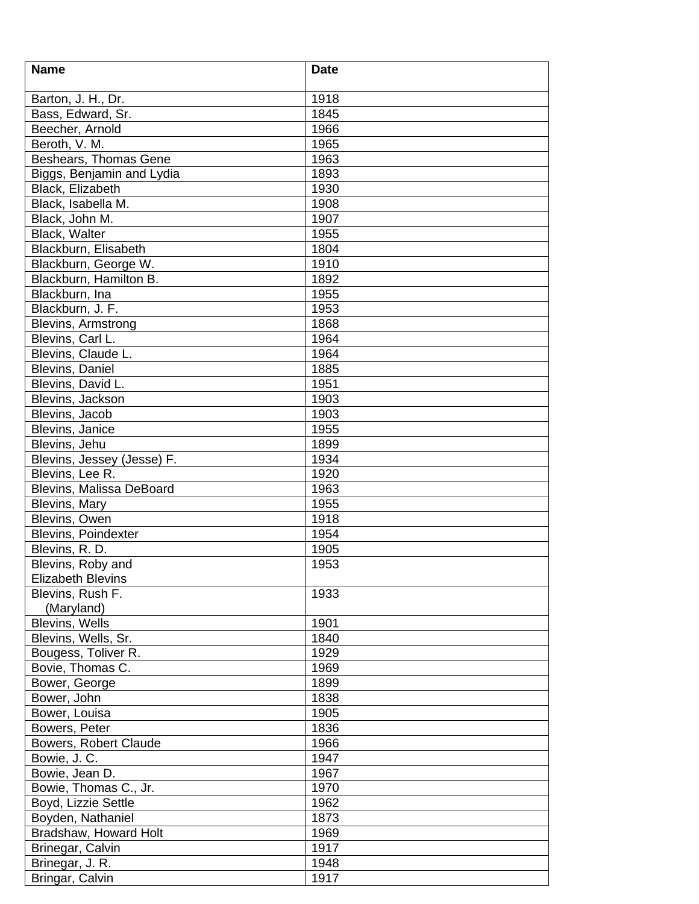| <b>Name</b>                | <b>Date</b> |
|----------------------------|-------------|
|                            |             |
| Barton, J. H., Dr.         | 1918        |
| Bass, Edward, Sr.          | 1845        |
| Beecher, Arnold            | 1966        |
| Beroth, V. M.              | 1965        |
| Beshears, Thomas Gene      | 1963        |
| Biggs, Benjamin and Lydia  | 1893        |
| Black, Elizabeth           | 1930        |
| Black, Isabella M.         | 1908        |
| Black, John M.             | 1907        |
| Black, Walter              | 1955        |
| Blackburn, Elisabeth       | 1804        |
| Blackburn, George W.       | 1910        |
| Blackburn, Hamilton B.     | 1892        |
| Blackburn, Ina             | 1955        |
| Blackburn, J. F.           | 1953        |
| <b>Blevins, Armstrong</b>  | 1868        |
| Blevins, Carl L.           | 1964        |
| Blevins, Claude L.         | 1964        |
| <b>Blevins, Daniel</b>     | 1885        |
| Blevins, David L.          | 1951        |
| Blevins, Jackson           | 1903        |
| Blevins, Jacob             | 1903        |
| Blevins, Janice            | 1955        |
| Blevins, Jehu              | 1899        |
| Blevins, Jessey (Jesse) F. | 1934        |
| Blevins, Lee R.            | 1920        |
| Blevins, Malissa DeBoard   | 1963        |
| Blevins, Mary              | 1955        |
| Blevins, Owen              | 1918        |
| Blevins, Poindexter        | 1954        |
|                            |             |
| Blevins, R. D.             | 1905        |
| Blevins, Roby and          | 1953        |
| <b>Elizabeth Blevins</b>   |             |
| Blevins, Rush F.           | 1933        |
| (Maryland)                 |             |
| Blevins, Wells             | 1901        |
| Blevins, Wells, Sr.        | 1840        |
| Bougess, Toliver R.        | 1929        |
| Bovie, Thomas C.           | 1969        |
| Bower, George              | 1899        |
| Bower, John                | 1838        |
| Bower, Louisa              | 1905        |
| Bowers, Peter              | 1836        |
| Bowers, Robert Claude      | 1966        |
| Bowie, J. C.               | 1947        |
| Bowie, Jean D.             | 1967        |
| Bowie, Thomas C., Jr.      | 1970        |
| Boyd, Lizzie Settle        | 1962        |
| Boyden, Nathaniel          | 1873        |
| Bradshaw, Howard Holt      | 1969        |
| Brinegar, Calvin           | 1917        |
| Brinegar, J. R.            | 1948        |
| Bringar, Calvin            | 1917        |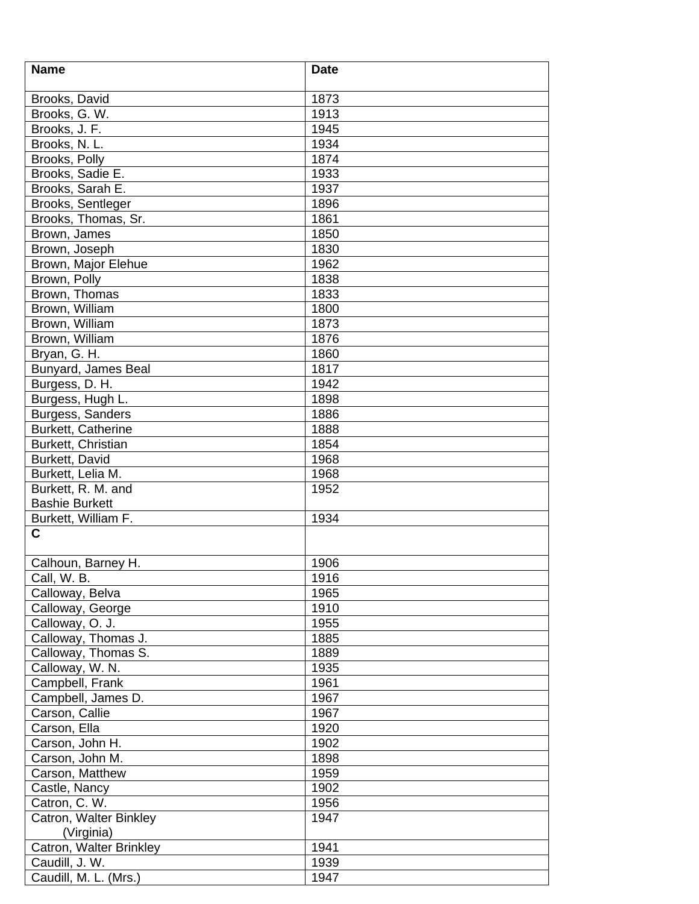| <b>Name</b>             | <b>Date</b> |
|-------------------------|-------------|
|                         |             |
| Brooks, David           | 1873        |
| Brooks, G. W.           | 1913        |
| Brooks, J. F.           | 1945        |
| Brooks, N. L.           | 1934        |
| Brooks, Polly           | 1874        |
| Brooks, Sadie E.        | 1933        |
| Brooks, Sarah E.        | 1937        |
| Brooks, Sentleger       | 1896        |
| Brooks, Thomas, Sr.     | 1861        |
| Brown, James            | 1850        |
| Brown, Joseph           | 1830        |
| Brown, Major Elehue     | 1962        |
| Brown, Polly            | 1838        |
| Brown, Thomas           | 1833        |
| Brown, William          | 1800        |
| Brown, William          | 1873        |
| Brown, William          | 1876        |
| Bryan, G. H.            | 1860        |
| Bunyard, James Beal     | 1817        |
| Burgess, D. H.          | 1942        |
| Burgess, Hugh L.        | 1898        |
| Burgess, Sanders        | 1886        |
| Burkett, Catherine      | 1888        |
| Burkett, Christian      | 1854        |
| Burkett, David          | 1968        |
| Burkett, Lelia M.       | 1968        |
| Burkett, R. M. and      | 1952        |
| <b>Bashie Burkett</b>   |             |
| Burkett, William F.     | 1934        |
| C                       |             |
|                         |             |
| Calhoun, Barney H.      | 1906        |
| Call, W. B.             | 1916        |
| Calloway, Belva         | 1965        |
| Calloway, George        | 1910        |
| Calloway, O. J.         | 1955        |
| Calloway, Thomas J.     | 1885        |
| Calloway, Thomas S.     | 1889        |
| Calloway, W. N.         | 1935        |
| Campbell, Frank         | 1961        |
| Campbell, James D.      | 1967        |
| Carson, Callie          | 1967        |
| Carson, Ella            | 1920        |
| Carson, John H.         | 1902        |
| Carson, John M.         | 1898        |
| Carson, Matthew         | 1959        |
| Castle, Nancy           | 1902        |
| Catron, C. W.           | 1956        |
| Catron, Walter Binkley  | 1947        |
| (Virginia)              |             |
| Catron, Walter Brinkley | 1941        |
| Caudill, J. W.          | 1939        |
| Caudill, M. L. (Mrs.)   | 1947        |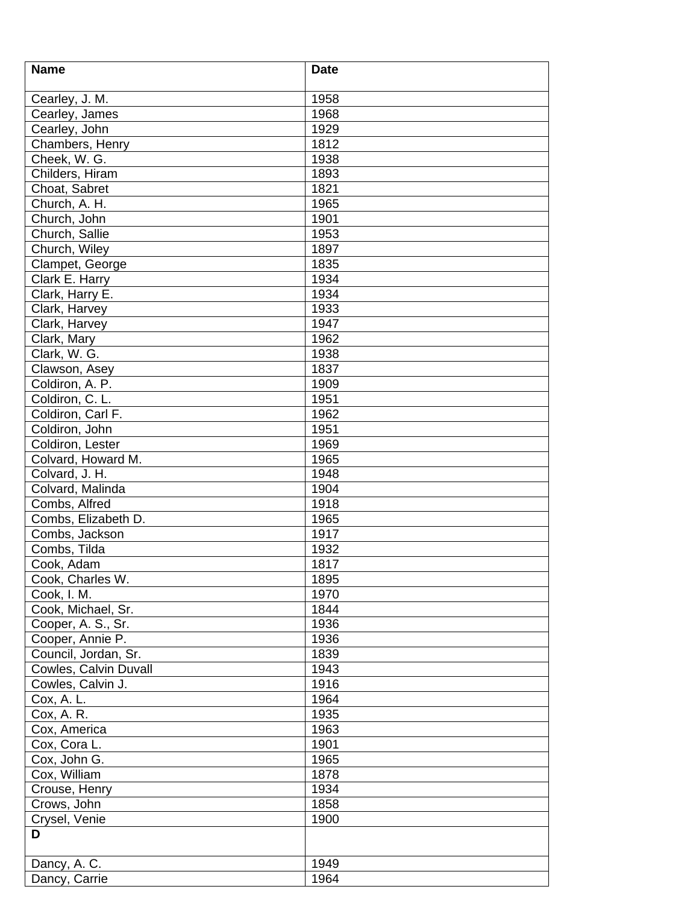| <b>Name</b>           | <b>Date</b> |
|-----------------------|-------------|
|                       |             |
| Cearley, J. M.        | 1958        |
| Cearley, James        | 1968        |
| Cearley, John         | 1929        |
| Chambers, Henry       | 1812        |
| Cheek, W. G.          | 1938        |
| Childers, Hiram       | 1893        |
| Choat, Sabret         | 1821        |
| Church, A. H.         | 1965        |
| Church, John          | 1901        |
| Church, Sallie        | 1953        |
| Church, Wiley         | 1897        |
| Clampet, George       | 1835        |
| Clark E. Harry        | 1934        |
| Clark, Harry E.       | 1934        |
| Clark, Harvey         | 1933        |
| Clark, Harvey         | 1947        |
| Clark, Mary           | 1962        |
| Clark, W. G.          | 1938        |
| Clawson, Asey         | 1837        |
| Coldiron, A. P.       | 1909        |
| Coldiron, C. L.       | 1951        |
| Coldiron, Carl F.     | 1962        |
| Coldiron, John        | 1951        |
| Coldiron, Lester      | 1969        |
| Colvard, Howard M.    | 1965        |
| Colvard, J. H.        | 1948        |
| Colvard, Malinda      | 1904        |
| Combs, Alfred         | 1918        |
| Combs, Elizabeth D.   | 1965        |
| Combs, Jackson        | 1917        |
| Combs, Tilda          | 1932        |
| Cook, Adam            | 1817        |
| Cook, Charles W.      | 1895        |
| Cook, I. M.           | 1970        |
| Cook, Michael, Sr.    | 1844        |
| Cooper, A. S., Sr.    | 1936        |
| Cooper, Annie P.      | 1936        |
| Council, Jordan, Sr.  | 1839        |
| Cowles, Calvin Duvall | 1943        |
| Cowles, Calvin J.     | 1916        |
| Cox, A. L.            | 1964        |
| Cox, A. R.            | 1935        |
| Cox, America          | 1963        |
| Cox, Cora L.          | 1901        |
| Cox, John G.          | 1965        |
| Cox, William          | 1878        |
| Crouse, Henry         | 1934        |
| Crows, John           | 1858        |
| Crysel, Venie         | 1900        |
| D                     |             |
| Dancy, A. C.          | 1949        |
| Dancy, Carrie         | 1964        |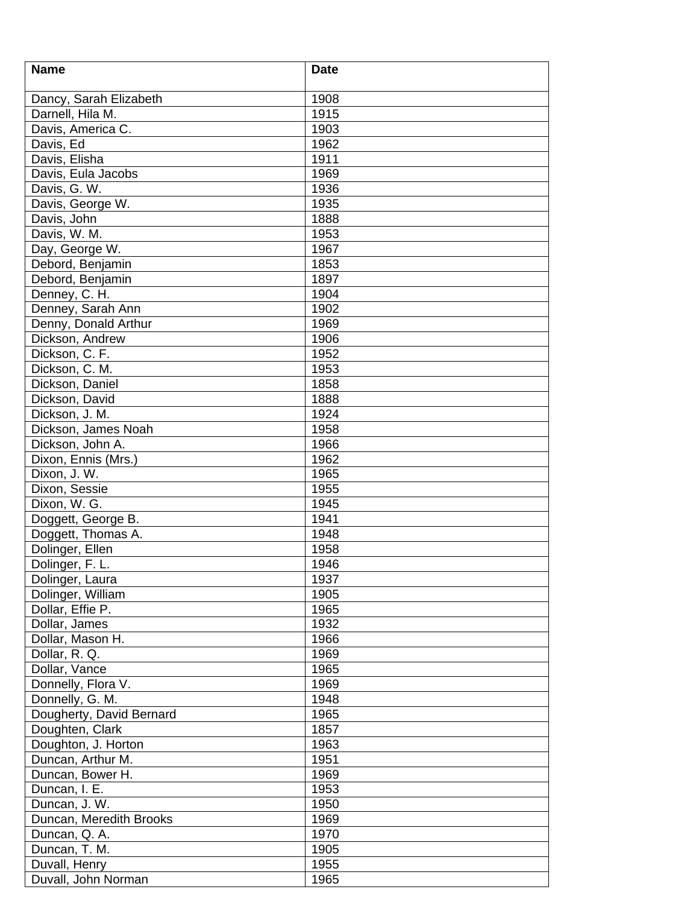| <b>Name</b>              | <b>Date</b> |
|--------------------------|-------------|
|                          |             |
| Dancy, Sarah Elizabeth   | 1908        |
| Darnell, Hila M.         | 1915        |
| Davis, America C.        | 1903        |
| Davis, Ed                | 1962        |
| Davis, Elisha            | 1911        |
| Davis, Eula Jacobs       | 1969        |
| Davis, G. W.             | 1936        |
| Davis, George W.         | 1935        |
| Davis, John              | 1888        |
| Davis, W. M.             | 1953        |
| Day, George W.           | 1967        |
| Debord, Benjamin         | 1853        |
| Debord, Benjamin         | 1897        |
| Denney, C. H.            | 1904        |
| Denney, Sarah Ann        | 1902        |
| Denny, Donald Arthur     | 1969        |
| Dickson, Andrew          | 1906        |
| Dickson, C. F.           | 1952        |
| Dickson, C. M.           | 1953        |
| Dickson, Daniel          | 1858        |
| Dickson, David           | 1888        |
| Dickson, J. M.           | 1924        |
| Dickson, James Noah      | 1958        |
| Dickson, John A.         | 1966        |
| Dixon, Ennis (Mrs.)      | 1962        |
| Dixon, J. W.             | 1965        |
| Dixon, Sessie            | 1955        |
| Dixon, W. G.             | 1945        |
| Doggett, George B.       | 1941        |
| Doggett, Thomas A.       | 1948        |
| Dolinger, Ellen          | 1958        |
| Dolinger, F. L.          | 1946        |
| Dolinger, Laura          | 1937        |
| Dolinger, William        | 1905        |
| Dollar, Effie P.         | 1965        |
| Dollar, James            | 1932        |
| Dollar, Mason H.         | 1966        |
| Dollar, R. Q.            | 1969        |
| Dollar, Vance            | 1965        |
| Donnelly, Flora V.       | 1969        |
| Donnelly, G. M.          | 1948        |
| Dougherty, David Bernard | 1965        |
| Doughten, Clark          | 1857        |
| Doughton, J. Horton      | 1963        |
| Duncan, Arthur M.        | 1951        |
| Duncan, Bower H.         | 1969        |
|                          |             |
| Duncan, I. E.            | 1953        |
| Duncan, J. W.            | 1950        |
| Duncan, Meredith Brooks  | 1969        |
| Duncan, Q. A.            | 1970        |
| Duncan, T. M.            | 1905        |
| Duvall, Henry            | 1955        |
| Duvall, John Norman      | 1965        |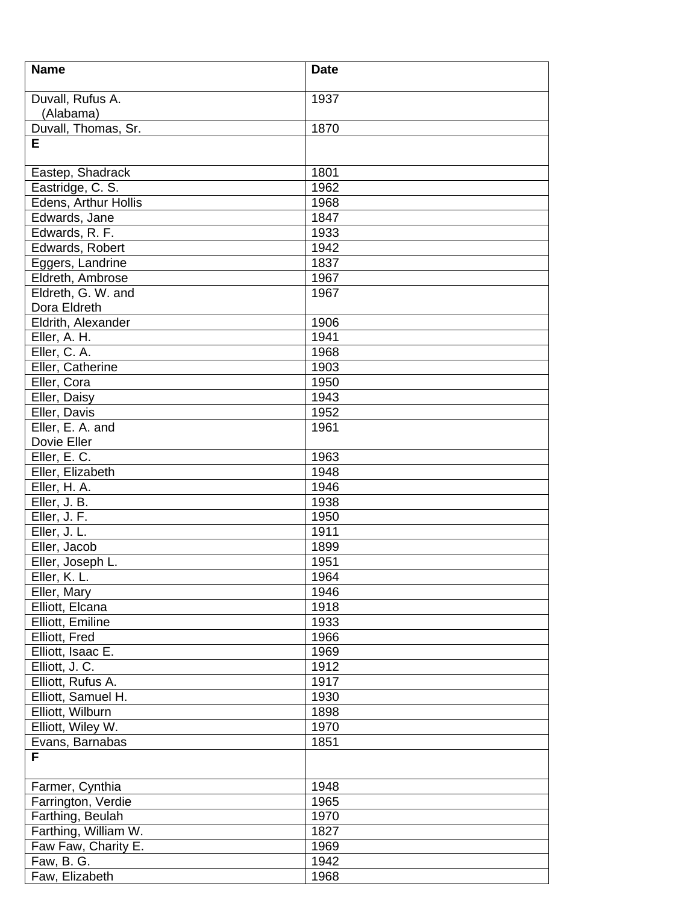| <b>Name</b>                   | <b>Date</b> |
|-------------------------------|-------------|
| Duvall, Rufus A.<br>(Alabama) | 1937        |
| Duvall, Thomas, Sr.           | 1870        |
| Е                             |             |
|                               |             |
| Eastep, Shadrack              | 1801        |
| Eastridge, C. S.              | 1962        |
| Edens, Arthur Hollis          | 1968        |
| Edwards, Jane                 | 1847        |
| Edwards, R. F.                | 1933        |
| Edwards, Robert               | 1942        |
| Eggers, Landrine              | 1837        |
| Eldreth, Ambrose              | 1967        |
| Eldreth, G. W. and            | 1967        |
| Dora Eldreth                  |             |
| Eldrith, Alexander            | 1906        |
| Eller, A. H.                  | 1941        |
| Eller, C. A.                  | 1968        |
| Eller, Catherine              | 1903        |
| Eller, Cora                   | 1950        |
| Eller, Daisy                  | 1943        |
| Eller, Davis                  | 1952        |
| Eller, E. A. and              | 1961        |
| Dovie Eller                   |             |
| Eller, E.C.                   | 1963        |
| Eller, Elizabeth              | 1948        |
| Eller, H. A.                  | 1946        |
| Eller, J. B.                  | 1938        |
| Eller, J. F.                  | 1950        |
| Eller, J. L.                  | 1911        |
| Eller, Jacob                  | 1899        |
| Eller, Joseph L.              | 1951        |
| Eller, K. L.                  | 1964        |
| Eller, Mary                   | 1946        |
| Elliott, Elcana               | 1918        |
| Elliott, Emiline              | 1933        |
| Elliott, Fred                 | 1966        |
| Elliott, Isaac E.             | 1969        |
| Elliott, J. C.                | 1912        |
| Elliott, Rufus A.             | 1917        |
| Elliott, Samuel H.            | 1930        |
| Elliott, Wilburn              | 1898        |
| Elliott, Wiley W.             | 1970        |
| Evans, Barnabas               | 1851        |
| F                             |             |
| Farmer, Cynthia               | 1948        |
| Farrington, Verdie            | 1965        |
| Farthing, Beulah              | 1970        |
| Farthing, William W.          | 1827        |
| Faw Faw, Charity E.           | 1969        |
| Faw, B. G.                    | 1942        |
| Faw, Elizabeth                | 1968        |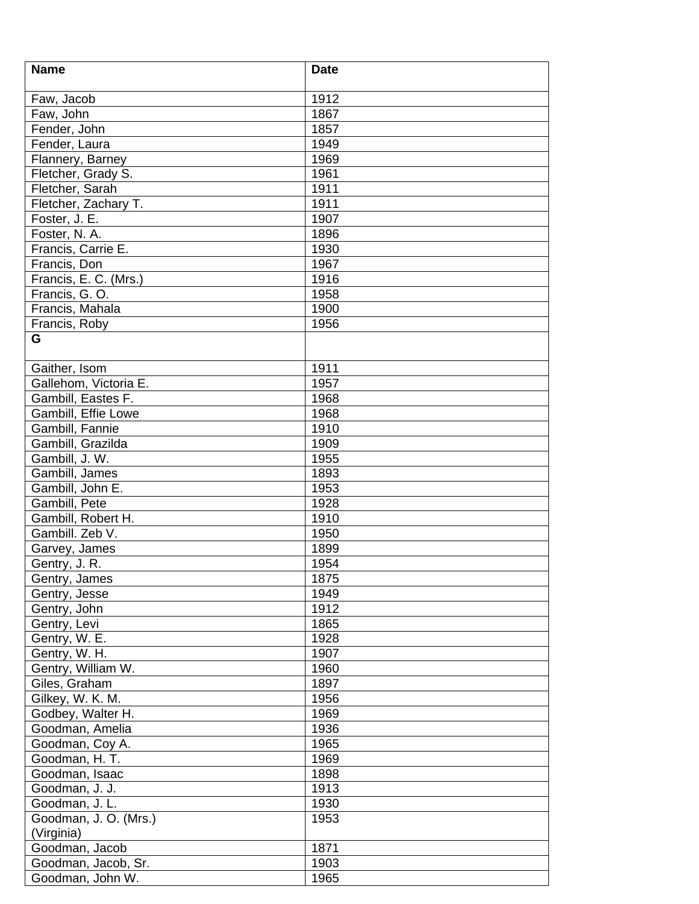| <b>Name</b>                    | <b>Date</b>  |
|--------------------------------|--------------|
|                                |              |
| Faw, Jacob                     | 1912         |
| Faw, John                      | 1867         |
| Fender, John                   | 1857         |
| Fender, Laura                  | 1949         |
| Flannery, Barney               | 1969         |
| Fletcher, Grady S.             | 1961         |
| Fletcher, Sarah                | 1911         |
| Fletcher, Zachary T.           | 1911         |
| Foster, J. E.                  | 1907         |
| Foster, N. A.                  | 1896         |
| Francis, Carrie E.             | 1930         |
| Francis, Don                   | 1967         |
| Francis, E. C. (Mrs.)          | 1916         |
| Francis, G.O.                  | 1958         |
| Francis, Mahala                | 1900         |
| Francis, Roby                  | 1956         |
| G                              |              |
| Gaither, Isom                  | 1911         |
| Gallehom, Victoria E.          | 1957         |
| Gambill, Eastes F.             | 1968         |
| Gambill, Effie Lowe            | 1968         |
| Gambill, Fannie                | 1910         |
| Gambill, Grazilda              | 1909         |
| Gambill, J. W.                 | 1955         |
| Gambill, James                 | 1893         |
| Gambill, John E.               | 1953         |
| Gambill, Pete                  | 1928         |
| Gambill, Robert H.             | 1910         |
| Gambill. Zeb V.                | 1950         |
|                                | 1899         |
| Garvey, James<br>Gentry, J. R. | 1954         |
|                                | 1875         |
| Gentry, James<br>Gentry, Jesse | 1949         |
|                                | 1912         |
| Gentry, John                   | 1865         |
| Gentry, Levi                   |              |
| Gentry, W. E.<br>Gentry, W. H. | 1928<br>1907 |
|                                |              |
| Gentry, William W.             | 1960         |
| Giles, Graham                  | 1897         |
| Gilkey, W. K. M.               | 1956         |
| Godbey, Walter H.              | 1969         |
| Goodman, Amelia                | 1936         |
| Goodman, Coy A.                | 1965         |
| Goodman, H. T.                 | 1969         |
| Goodman, Isaac                 | 1898         |
| Goodman, J. J.                 | 1913         |
| Goodman, J. L.                 | 1930         |
| Goodman, J. O. (Mrs.)          | 1953         |
| (Virginia)                     |              |
| Goodman, Jacob                 | 1871         |
| Goodman, Jacob, Sr.            | 1903         |
| Goodman, John W.               | 1965         |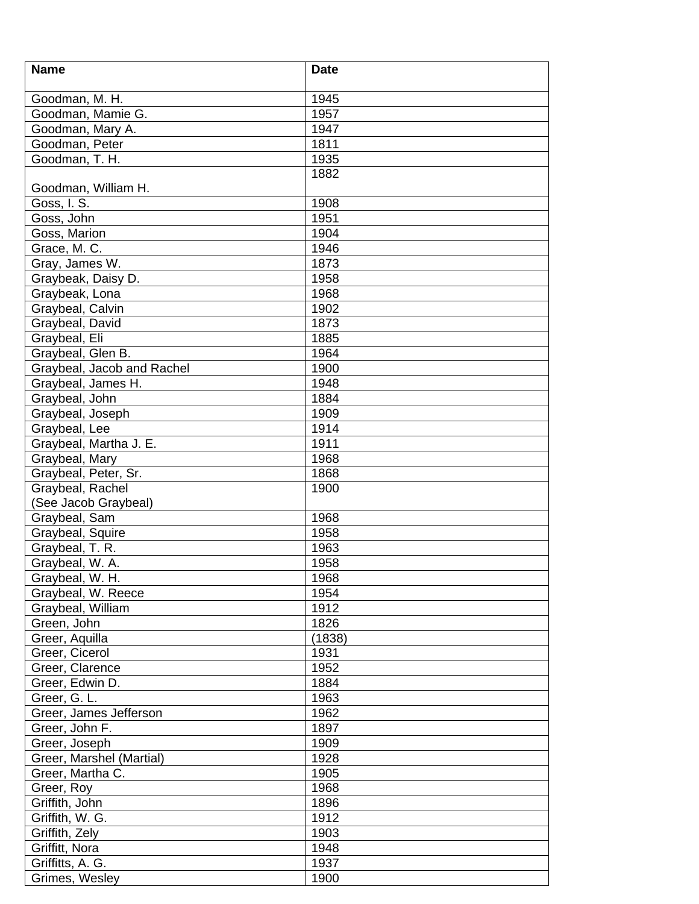| <b>Name</b>                | <b>Date</b> |
|----------------------------|-------------|
| Goodman, M. H.             | 1945        |
| Goodman, Mamie G.          | 1957        |
| Goodman, Mary A.           | 1947        |
| Goodman, Peter             | 1811        |
| Goodman, T. H.             | 1935        |
|                            | 1882        |
| Goodman, William H.        |             |
| Goss, I. S.                | 1908        |
| Goss, John                 | 1951        |
| Goss, Marion               | 1904        |
| Grace, M. C.               | 1946        |
| Gray, James W.             | 1873        |
| Graybeak, Daisy D.         | 1958        |
| Graybeak, Lona             | 1968        |
| Graybeal, Calvin           | 1902        |
| Graybeal, David            | 1873        |
| Graybeal, Eli              | 1885        |
| Graybeal, Glen B.          | 1964        |
| Graybeal, Jacob and Rachel | 1900        |
| Graybeal, James H.         | 1948        |
| Graybeal, John             | 1884        |
| Graybeal, Joseph           | 1909        |
| Graybeal, Lee              | 1914        |
| Graybeal, Martha J. E.     | 1911        |
| Graybeal, Mary             | 1968        |
| Graybeal, Peter, Sr.       | 1868        |
| Graybeal, Rachel           | 1900        |
| (See Jacob Graybeal)       |             |
| Graybeal, Sam              | 1968        |
| Graybeal, Squire           | 1958        |
| Graybeal, T. R.            | 1963        |
| Graybeal, W. A.            | 1958        |
| Graybeal, W. H.            | 1968        |
| Graybeal, W. Reece         | 1954        |
| Graybeal, William          | 1912        |
| Green, John                | 1826        |
| Greer, Aquilla             | (1838)      |
| Greer, Cicerol             | 1931        |
| Greer, Clarence            | 1952        |
| Greer, Edwin D.            | 1884        |
| Greer, G. L.               | 1963        |
| Greer, James Jefferson     | 1962        |
| Greer, John F.             | 1897        |
| Greer, Joseph              | 1909        |
| Greer, Marshel (Martial)   | 1928        |
| Greer, Martha C.           | 1905        |
| Greer, Roy                 | 1968        |
| Griffith, John             | 1896        |
| Griffith, W. G.            | 1912        |
| Griffith, Zely             | 1903        |
| Griffitt, Nora             | 1948        |
| Griffitts, A. G.           | 1937        |
| Grimes, Wesley             | 1900        |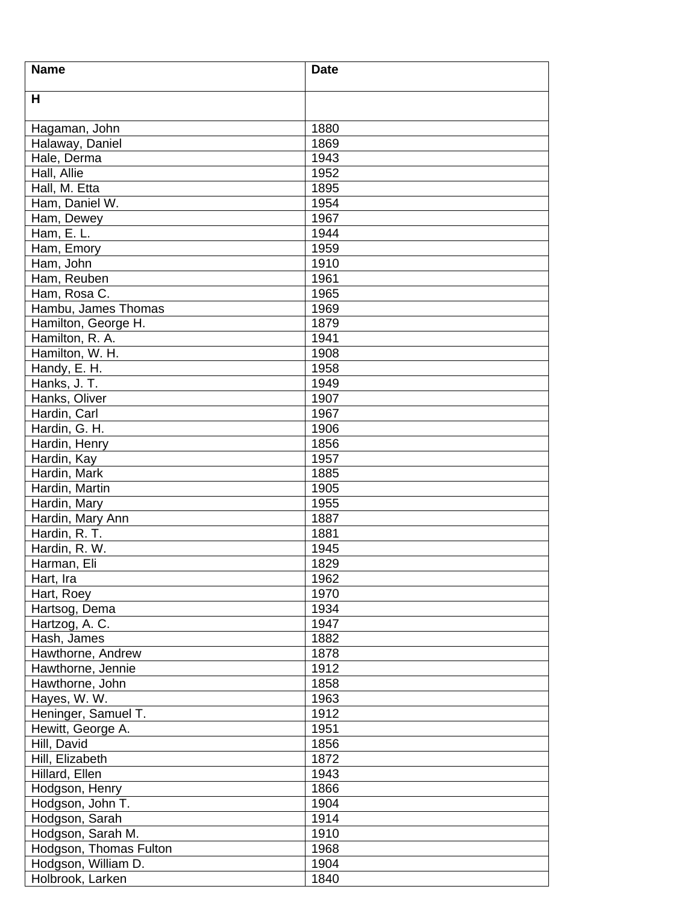| <b>Name</b>            | <b>Date</b> |
|------------------------|-------------|
| H                      |             |
|                        |             |
| Hagaman, John          | 1880        |
| Halaway, Daniel        | 1869        |
| Hale, Derma            | 1943        |
| Hall, Allie            | 1952        |
| Hall, M. Etta          | 1895        |
| Ham, Daniel W.         | 1954        |
| Ham, Dewey             | 1967        |
| Ham, $E.L.$            | 1944        |
| Ham, Emory             | 1959        |
| Ham, John              | 1910        |
| Ham, Reuben            | 1961        |
| Ham, Rosa C.           | 1965        |
| Hambu, James Thomas    | 1969        |
| Hamilton, George H.    | 1879        |
| Hamilton, R. A.        | 1941        |
| Hamilton, W. H.        | 1908        |
| Handy, E. H.           | 1958        |
| Hanks, J. T.           | 1949        |
| Hanks, Oliver          | 1907        |
| Hardin, Carl           | 1967        |
| Hardin, G. H.          | 1906        |
| Hardin, Henry          | 1856        |
| Hardin, Kay            | 1957        |
| Hardin, Mark           | 1885        |
| Hardin, Martin         | 1905        |
| Hardin, Mary           | 1955        |
| Hardin, Mary Ann       | 1887        |
| Hardin, R. T.          | 1881        |
| Hardin, R. W.          | 1945        |
| Harman, Eli            | 1829        |
| Hart, Ira              | 1962        |
| Hart, Roey             | 1970        |
| Hartsog, Dema          | 1934        |
| Hartzog, A. C.         | 1947        |
| Hash, James            | 1882        |
| Hawthorne, Andrew      | 1878        |
| Hawthorne, Jennie      | 1912        |
| Hawthorne, John        | 1858        |
| Hayes, W. W.           | 1963        |
|                        | 1912        |
| Heninger, Samuel T.    |             |
| Hewitt, George A.      | 1951        |
| Hill, David            | 1856        |
| Hill, Elizabeth        | 1872        |
| Hillard, Ellen         | 1943        |
| Hodgson, Henry         | 1866        |
| Hodgson, John T.       | 1904        |
| Hodgson, Sarah         | 1914        |
| Hodgson, Sarah M.      | 1910        |
| Hodgson, Thomas Fulton | 1968        |
| Hodgson, William D.    | 1904        |
| Holbrook, Larken       | 1840        |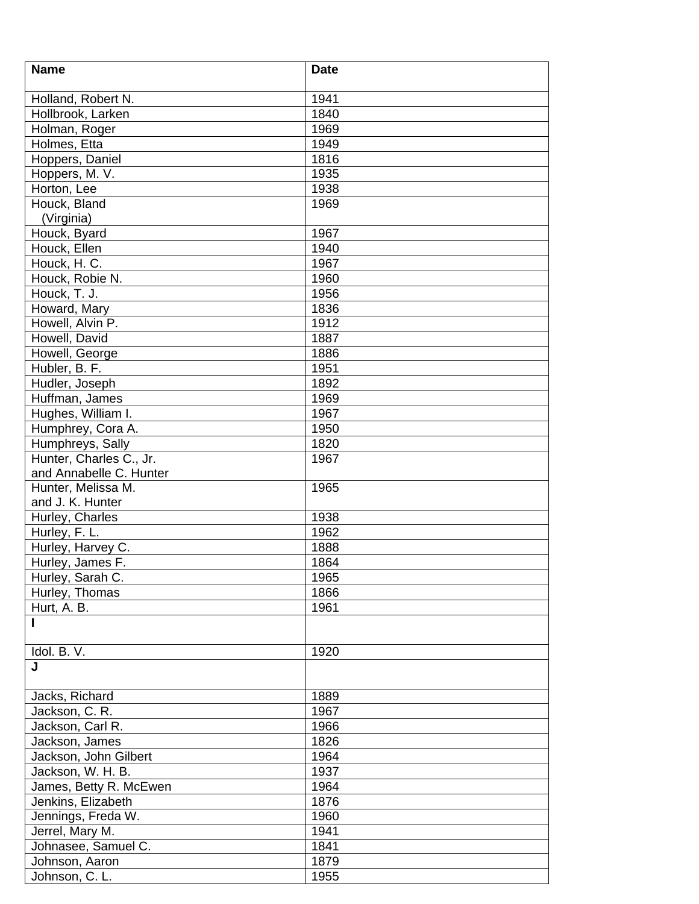| <b>Name</b>                | <b>Date</b> |
|----------------------------|-------------|
|                            |             |
| Holland, Robert N.         | 1941        |
| Hollbrook, Larken          | 1840        |
| Holman, Roger              | 1969        |
| Holmes, Etta               | 1949        |
| Hoppers, Daniel            | 1816        |
| Hoppers, M. V.             | 1935        |
| Horton, Lee                | 1938        |
| Houck, Bland<br>(Virginia) | 1969        |
| Houck, Byard               | 1967        |
| Houck, Ellen               | 1940        |
| Houck, H. C.               | 1967        |
| Houck, Robie N.            | 1960        |
| Houck, T. J.               | 1956        |
| Howard, Mary               | 1836        |
| Howell, Alvin P.           | 1912        |
| Howell, David              | 1887        |
| Howell, George             | 1886        |
| Hubler, B. F.              | 1951        |
| Hudler, Joseph             | 1892        |
| Huffman, James             | 1969        |
| Hughes, William I.         | 1967        |
| Humphrey, Cora A.          | 1950        |
| Humphreys, Sally           | 1820        |
| Hunter, Charles C., Jr.    | 1967        |
| and Annabelle C. Hunter    |             |
| Hunter, Melissa M.         | 1965        |
| and J. K. Hunter           |             |
| Hurley, Charles            | 1938        |
| Hurley, F. L.              | 1962        |
| Hurley, Harvey C.          | 1888        |
| Hurley, James F.           | 1864        |
| Hurley, Sarah C.           | 1965        |
| Hurley, Thomas             | 1866        |
| Hurt, A. B.                | 1961        |
| I                          |             |
| Idol. B. V.                | 1920        |
| J                          |             |
| Jacks, Richard             | 1889        |
| Jackson, C. R.             | 1967        |
| Jackson, Carl R.           | 1966        |
| Jackson, James             | 1826        |
| Jackson, John Gilbert      | 1964        |
| Jackson, W. H. B.          | 1937        |
| James, Betty R. McEwen     | 1964        |
| Jenkins, Elizabeth         | 1876        |
| Jennings, Freda W.         | 1960        |
| Jerrel, Mary M.            | 1941        |
| Johnasee, Samuel C.        | 1841        |
| Johnson, Aaron             | 1879        |
| Johnson, C. L.             | 1955        |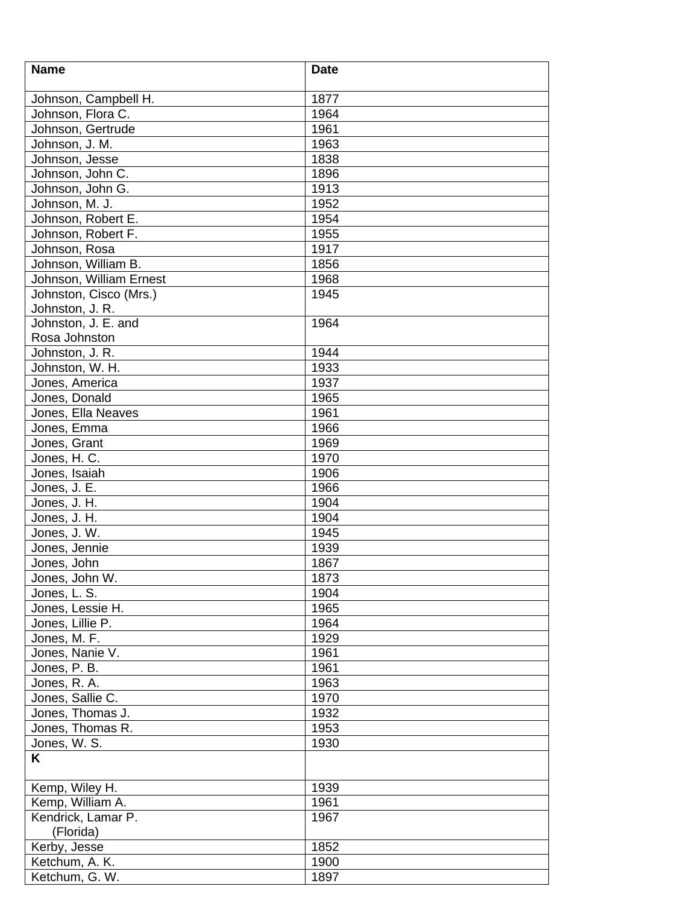| <b>Name</b>             | <b>Date</b> |
|-------------------------|-------------|
| Johnson, Campbell H.    | 1877        |
| Johnson, Flora C.       | 1964        |
| Johnson, Gertrude       | 1961        |
| Johnson, J. M.          | 1963        |
|                         |             |
| Johnson, Jesse          | 1838        |
| Johnson, John C.        | 1896        |
| Johnson, John G.        | 1913        |
| Johnson, M. J.          | 1952        |
| Johnson, Robert E.      | 1954        |
| Johnson, Robert F.      | 1955        |
| Johnson, Rosa           | 1917        |
| Johnson, William B.     | 1856        |
| Johnson, William Ernest | 1968        |
| Johnston, Cisco (Mrs.)  | 1945        |
| Johnston, J. R.         |             |
| Johnston, J. E. and     | 1964        |
| Rosa Johnston           |             |
| Johnston, J. R.         | 1944        |
| Johnston, W. H.         | 1933        |
| Jones, America          | 1937        |
| Jones, Donald           | 1965        |
| Jones, Ella Neaves      | 1961        |
| Jones, Emma             | 1966        |
| Jones, Grant            | 1969        |
| Jones, H. C.            | 1970        |
| Jones, Isaiah           | 1906        |
| Jones, J. E.            | 1966        |
| Jones, J. H.            | 1904        |
| Jones, J. H.            | 1904        |
| Jones, J. W.            | 1945        |
| Jones, Jennie           | 1939        |
| Jones, John             | 1867        |
| Jones, John W.          | 1873        |
| Jones, L. S.            | 1904        |
| Jones, Lessie H.        | 1965        |
| Jones, Lillie P.        | 1964        |
| Jones, M. F.            | 1929        |
| Jones, Nanie V.         | 1961        |
| Jones, P. B.            | 1961        |
| Jones, R. A.            | 1963        |
| Jones, Sallie C.        | 1970        |
| Jones, Thomas J.        | 1932        |
| Jones, Thomas R.        | 1953        |
| Jones, W. S.            | 1930        |
| Κ                       |             |
| Kemp, Wiley H.          | 1939        |
| Kemp, William A.        | 1961        |
| Kendrick, Lamar P.      | 1967        |
| (Florida)               |             |
| Kerby, Jesse            | 1852        |
| Ketchum, A. K.          | 1900        |
| Ketchum, G. W.          | 1897        |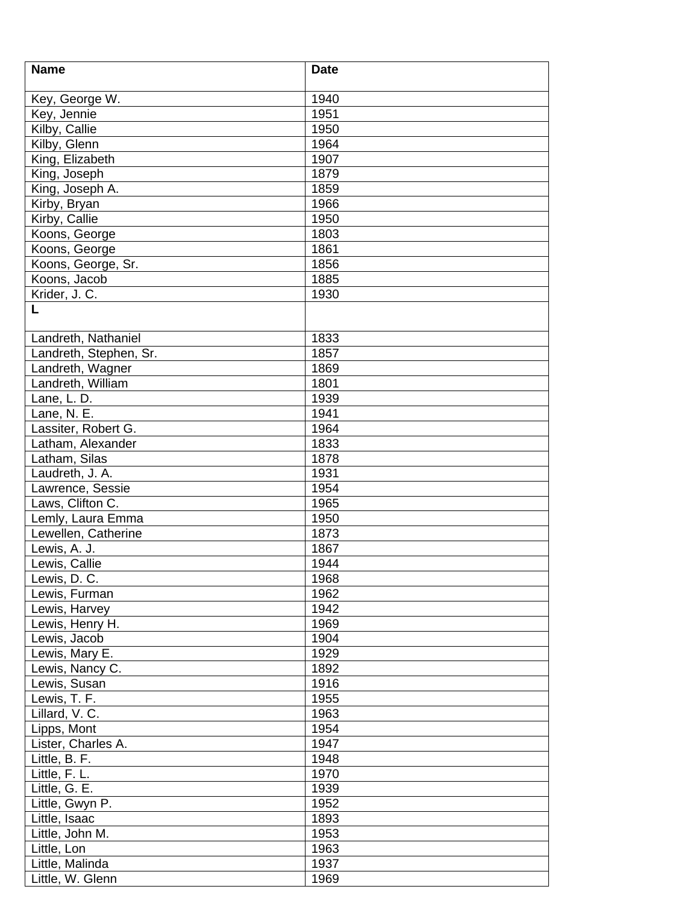| <b>Name</b>            | <b>Date</b> |
|------------------------|-------------|
|                        |             |
| Key, George W.         | 1940        |
| Key, Jennie            | 1951        |
| Kilby, Callie          | 1950        |
| Kilby, Glenn           | 1964        |
| King, Elizabeth        | 1907        |
| King, Joseph           | 1879        |
| King, Joseph A.        | 1859        |
| Kirby, Bryan           | 1966        |
| Kirby, Callie          | 1950        |
| Koons, George          | 1803        |
| Koons, George          | 1861        |
| Koons, George, Sr.     | 1856        |
| Koons, Jacob           | 1885        |
| Krider, J. C.          | 1930        |
| L                      |             |
| Landreth, Nathaniel    | 1833        |
| Landreth, Stephen, Sr. | 1857        |
| Landreth, Wagner       | 1869        |
| Landreth, William      | 1801        |
| Lane, L. D.            | 1939        |
| Lane, N. E.            | 1941        |
| Lassiter, Robert G.    | 1964        |
| Latham, Alexander      | 1833        |
| Latham, Silas          | 1878        |
| Laudreth, J. A.        | 1931        |
| Lawrence, Sessie       | 1954        |
| Laws, Clifton C.       | 1965        |
| Lemly, Laura Emma      | 1950        |
| Lewellen, Catherine    | 1873        |
| Lewis, A. J.           | 1867        |
| Lewis, Callie          | 1944        |
| Lewis, D. C.           | 1968        |
| Lewis, Furman          | 1962        |
| Lewis, Harvey          | 1942        |
| Lewis, Henry H.        | 1969        |
| Lewis, Jacob           | 1904        |
| Lewis, Mary E.         | 1929        |
| Lewis, Nancy C.        | 1892        |
| Lewis, Susan           | 1916        |
| Lewis, T. F.           | 1955        |
| Lillard, V. C.         | 1963        |
| Lipps, Mont            | 1954        |
| Lister, Charles A.     | 1947        |
| Little, B. F.          | 1948        |
| Little, F. L.          | 1970        |
| Little, G. E.          | 1939        |
| Little, Gwyn P.        | 1952        |
| Little, Isaac          | 1893        |
| Little, John M.        | 1953        |
| Little, Lon            | 1963        |
| Little, Malinda        | 1937        |
| Little, W. Glenn       | 1969        |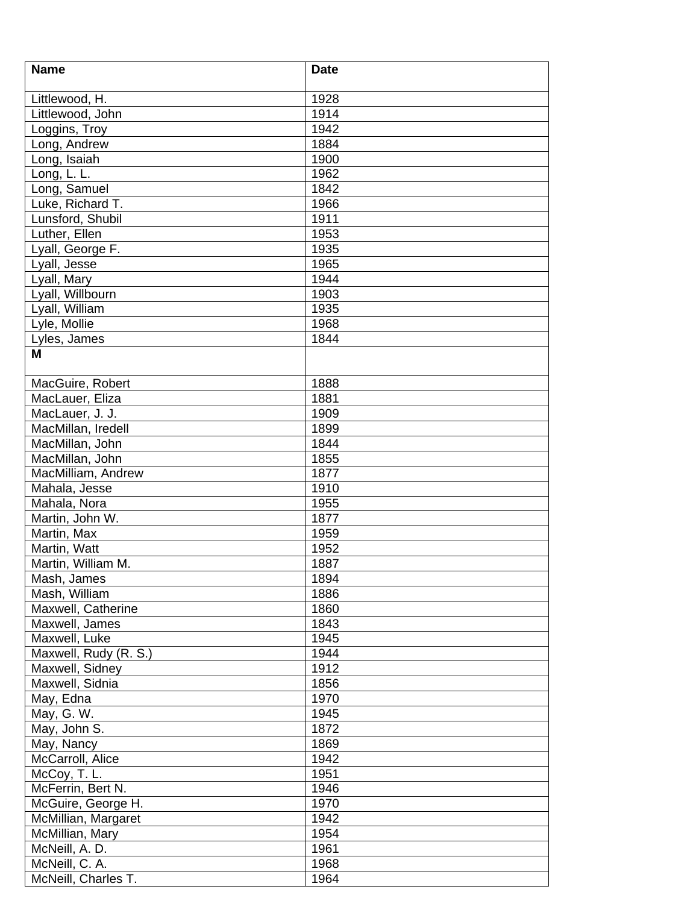| <b>Name</b>           | <b>Date</b> |
|-----------------------|-------------|
|                       |             |
| Littlewood, H.        | 1928        |
| Littlewood, John      | 1914        |
| Loggins, Troy         | 1942        |
| Long, Andrew          | 1884        |
| Long, Isaiah          | 1900        |
| Long, L. L.           | 1962        |
| Long, Samuel          | 1842        |
| Luke, Richard T.      | 1966        |
| Lunsford, Shubil      | 1911        |
| Luther, Ellen         | 1953        |
| Lyall, George F.      | 1935        |
| Lyall, Jesse          | 1965        |
| Lyall, Mary           | 1944        |
| Lyall, Willbourn      | 1903        |
| Lyall, William        | 1935        |
| Lyle, Mollie          | 1968        |
| Lyles, James          | 1844        |
| M                     |             |
| MacGuire, Robert      | 1888        |
| MacLauer, Eliza       | 1881        |
| MacLauer, J. J.       | 1909        |
| MacMillan, Iredell    | 1899        |
| MacMillan, John       | 1844        |
| MacMillan, John       | 1855        |
| MacMilliam, Andrew    | 1877        |
| Mahala, Jesse         | 1910        |
| Mahala, Nora          | 1955        |
| Martin, John W.       | 1877        |
| Martin, Max           | 1959        |
| Martin, Watt          | 1952        |
| Martin, William M.    | 1887        |
| Mash, James           | 1894        |
| Mash, William         | 1886        |
| Maxwell, Catherine    | 1860        |
| Maxwell, James        | 1843        |
| Maxwell, Luke         | 1945        |
| Maxwell, Rudy (R. S.) | 1944        |
| Maxwell, Sidney       | 1912        |
| Maxwell, Sidnia       | 1856        |
| May, Edna             | 1970        |
| May, G. W.            | 1945        |
| May, John S.          | 1872        |
| May, Nancy            | 1869        |
| McCarroll, Alice      | 1942        |
| McCoy, T. L.          | 1951        |
|                       |             |
| McFerrin, Bert N.     | 1946        |
| McGuire, George H.    | 1970        |
| McMillian, Margaret   | 1942        |
| McMillian, Mary       | 1954        |
| McNeill, A. D.        | 1961        |
| McNeill, C. A.        | 1968        |
| McNeill, Charles T.   | 1964        |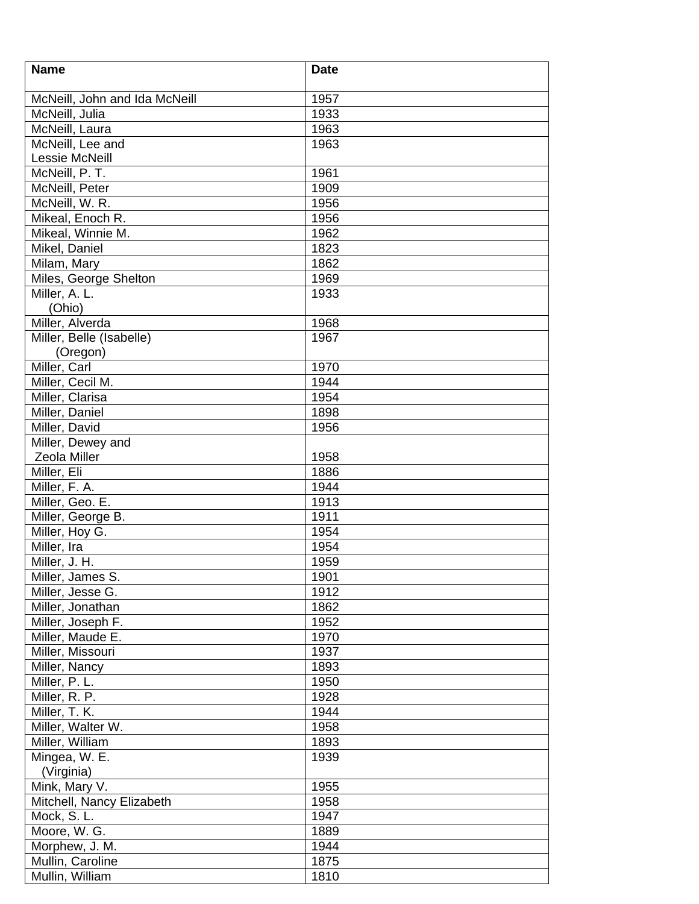| <b>Name</b>                   | <b>Date</b> |
|-------------------------------|-------------|
| McNeill, John and Ida McNeill | 1957        |
| McNeill, Julia                | 1933        |
| McNeill, Laura                | 1963        |
| McNeill, Lee and              | 1963        |
| Lessie McNeill                |             |
| McNeill, $P.\overline{T}$ .   | 1961        |
| McNeill, Peter                | 1909        |
| McNeill, W. R.                | 1956        |
| Mikeal, Enoch R.              | 1956        |
| Mikeal, Winnie M.             | 1962        |
| Mikel, Daniel                 | 1823        |
| Milam, Mary                   | 1862        |
| Miles, George Shelton         | 1969        |
| Miller, A. L.                 | 1933        |
| (Ohio)                        |             |
| Miller, Alverda               | 1968        |
| Miller, Belle (Isabelle)      | 1967        |
| (Oregon)                      |             |
| Miller, Carl                  | 1970        |
| Miller, Cecil M.              | 1944        |
| Miller, Clarisa               | 1954        |
| Miller, Daniel                | 1898        |
| Miller, David                 | 1956        |
| Miller, Dewey and             |             |
| Zeola Miller                  | 1958        |
| Miller, Eli                   | 1886        |
| Miller, F. A.                 | 1944        |
| Miller, Geo. E.               | 1913        |
| Miller, George B.             | 1911        |
| Miller, Hoy G.                | 1954        |
| Miller, Ira                   | 1954        |
| Miller, J. H.                 | 1959        |
| Miller, James S.              | 1901        |
| Miller, Jesse G.              | 1912        |
| Miller, Jonathan              | 1862        |
| Miller, Joseph F.             | 1952        |
| Miller, Maude E.              | 1970        |
| Miller, Missouri              | 1937        |
| Miller, Nancy                 | 1893        |
| Miller, P. L.                 | 1950        |
| Miller, R. P.                 | 1928        |
| Miller, T. K.                 | 1944        |
| Miller, Walter W.             | 1958        |
| Miller, William               | 1893        |
| Mingea, W. E.<br>(Virginia)   | 1939        |
| Mink, Mary V.                 | 1955        |
| Mitchell, Nancy Elizabeth     | 1958        |
| Mock, S.L.                    | 1947        |
| Moore, W. G.                  | 1889        |
| Morphew, J. M.                | 1944        |
| Mullin, Caroline              | 1875        |
| Mullin, William               | 1810        |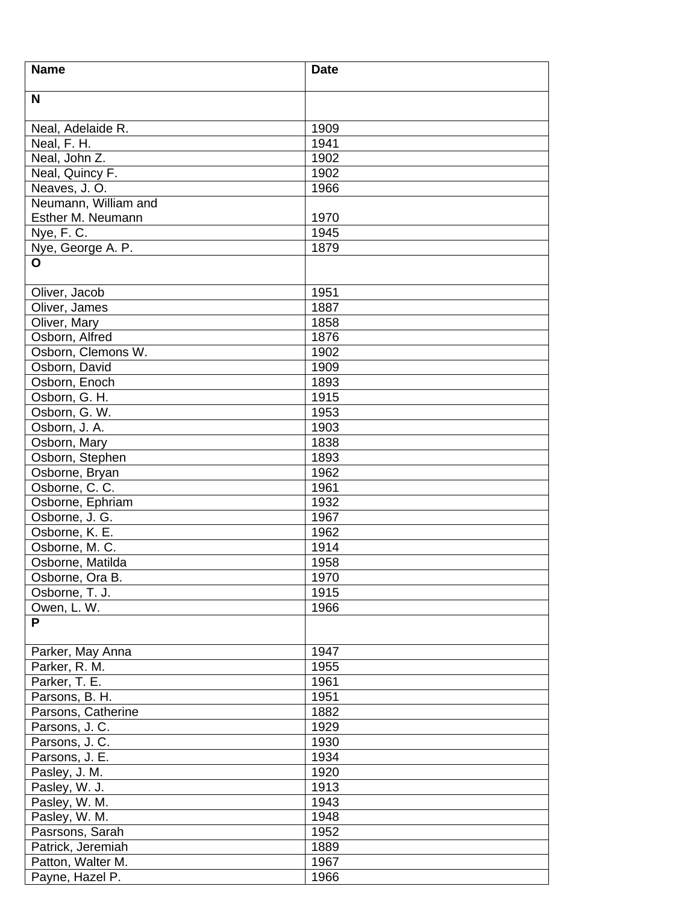| <b>Name</b>                          | <b>Date</b>  |
|--------------------------------------|--------------|
| N                                    |              |
| Neal, Adelaide R.                    | 1909         |
| Neal, F. H.                          | 1941         |
|                                      |              |
| Neal, John Z.                        | 1902         |
| Neal, Quincy F.                      | 1902         |
| Neaves, J.O.<br>Neumann, William and | 1966         |
|                                      |              |
| Esther M. Neumann                    | 1970<br>1945 |
| Nye, F.C.                            |              |
| Nye, George A. P.                    | 1879         |
| O                                    |              |
| Oliver, Jacob                        | 1951         |
| Oliver, James                        | 1887         |
| Oliver, Mary                         | 1858         |
| Osborn, Alfred                       | 1876         |
| Osborn, Clemons W.                   | 1902         |
| Osborn, David                        | 1909         |
| Osborn, Enoch                        | 1893         |
| Osborn, G. H.                        | 1915         |
| Osborn, G. W.                        | 1953         |
| Osborn, J. A.                        | 1903         |
| Osborn, Mary                         | 1838         |
| Osborn, Stephen                      | 1893         |
| Osborne, Bryan                       | 1962         |
| Osborne, C. C.                       | 1961         |
| Osborne, Ephriam                     | 1932         |
| Osborne, J. G.                       | 1967         |
| Osborne, K. E.                       | 1962         |
| Osborne, M. C.                       | 1914         |
| Osborne, Matilda                     | 1958         |
| Osborne, Ora B.                      | 1970         |
| Osborne, T. J.                       | 1915         |
| Owen, L. W.                          | 1966         |
| P                                    |              |
| Parker, May Anna                     | 1947         |
| Parker, R. M.                        | 1955         |
| Parker, T. E.                        | 1961         |
|                                      |              |
| Parsons, B. H.                       | 1951         |
| Parsons, Catherine                   | 1882         |
| Parsons, J. C.                       | 1929         |
| Parsons, J. C.                       | 1930         |
| Parsons, J. E.                       | 1934         |
| Pasley, J. M.                        | 1920         |
| Pasley, W. J.                        | 1913         |
| Pasley, W. M.                        | 1943         |
| Pasley, W. M.                        | 1948         |
| Pasrsons, Sarah                      | 1952         |
| Patrick, Jeremiah                    | 1889         |
| Patton, Walter M.                    | 1967         |
| Payne, Hazel P.                      | 1966         |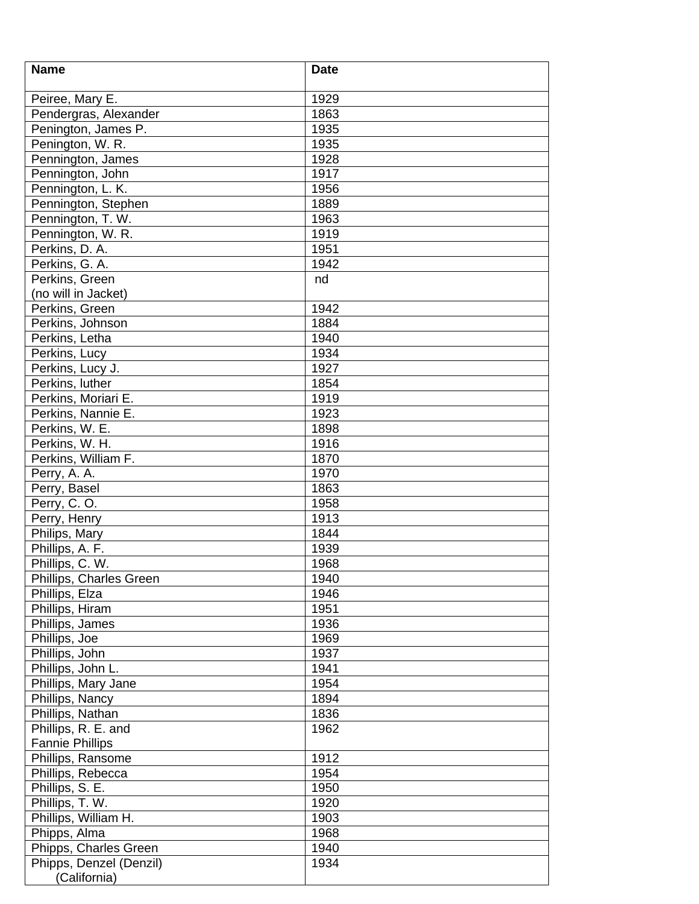| <b>Name</b>             | <b>Date</b> |
|-------------------------|-------------|
|                         |             |
| Peiree, Mary E.         | 1929        |
| Pendergras, Alexander   | 1863        |
| Penington, James P.     | 1935        |
| Penington, W. R.        | 1935        |
| Pennington, James       | 1928        |
| Pennington, John        | 1917        |
| Pennington, L. K.       | 1956        |
| Pennington, Stephen     | 1889        |
| Pennington, T. W.       | 1963        |
| Pennington, W. R.       | 1919        |
| Perkins, D. A.          | 1951        |
| Perkins, G. A.          | 1942        |
| Perkins, Green          | nd          |
| (no will in Jacket)     |             |
| Perkins, Green          | 1942        |
| Perkins, Johnson        | 1884        |
| Perkins, Letha          | 1940        |
| Perkins, Lucy           | 1934        |
| Perkins, Lucy J.        | 1927        |
| Perkins, luther         | 1854        |
| Perkins, Moriari E.     | 1919        |
| Perkins, Nannie E.      | 1923        |
| Perkins, W. E.          | 1898        |
| Perkins, W. H.          | 1916        |
| Perkins, William F.     | 1870        |
| Perry, A. A.            | 1970        |
| Perry, Basel            | 1863        |
| Perry, C.O.             | 1958        |
| Perry, Henry            | 1913        |
| Philips, Mary           | 1844        |
| Phillips, A. F.         | 1939        |
| Phillips, C. W.         | 1968        |
| Phillips, Charles Green | 1940        |
| Phillips, Elza          | 1946        |
| Phillips, Hiram         | 1951        |
| Phillips, James         | 1936        |
| Phillips, Joe           | 1969        |
| Phillips, John          | 1937        |
| Phillips, John L.       | 1941        |
| Phillips, Mary Jane     | 1954        |
| Phillips, Nancy         | 1894        |
| Phillips, Nathan        | 1836        |
| Phillips, R. E. and     | 1962        |
| <b>Fannie Phillips</b>  |             |
| Phillips, Ransome       | 1912        |
|                         | 1954        |
| Phillips, Rebecca       |             |
| Phillips, S. E.         | 1950        |
| Phillips, T. W.         | 1920        |
| Phillips, William H.    | 1903        |
| Phipps, Alma            | 1968        |
| Phipps, Charles Green   | 1940        |
| Phipps, Denzel (Denzil) | 1934        |
| (California)            |             |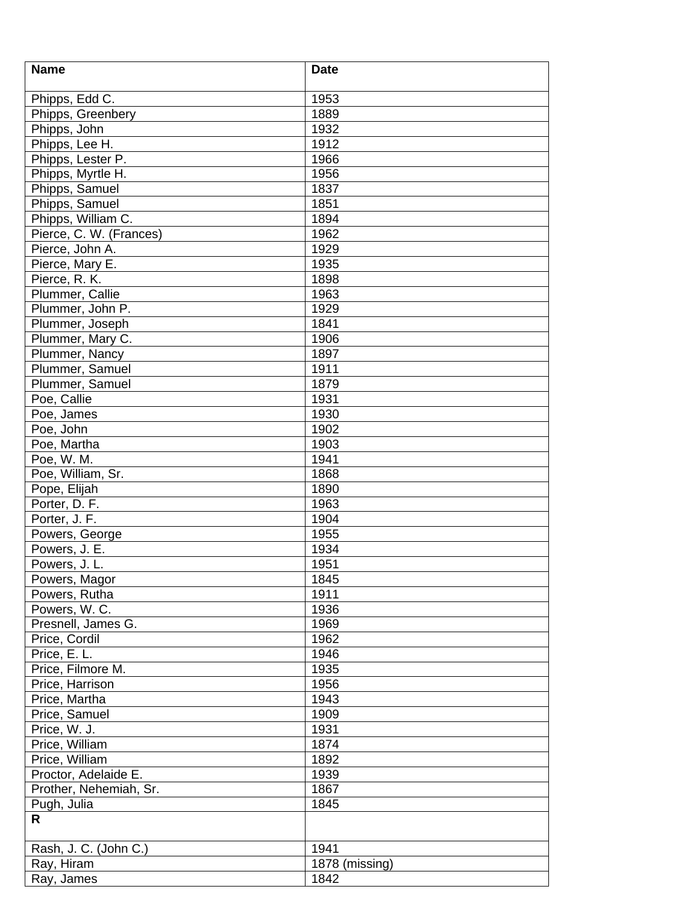| <b>Name</b>             | <b>Date</b>    |
|-------------------------|----------------|
| Phipps, Edd C.          | 1953           |
| Phipps, Greenbery       | 1889           |
| Phipps, John            | 1932           |
| Phipps, Lee H.          | 1912           |
| Phipps, Lester P.       | 1966           |
|                         |                |
| Phipps, Myrtle H.       | 1956           |
| Phipps, Samuel          | 1837           |
| Phipps, Samuel          | 1851           |
| Phipps, William C.      | 1894           |
| Pierce, C. W. (Frances) | 1962           |
| Pierce, John A.         | 1929           |
| Pierce, Mary E.         | 1935           |
| Pierce, R. K.           | 1898           |
| Plummer, Callie         | 1963           |
| Plummer, John P.        | 1929           |
| Plummer, Joseph         | 1841           |
| Plummer, Mary C.        | 1906           |
| Plummer, Nancy          | 1897           |
| Plummer, Samuel         | 1911           |
| Plummer, Samuel         | 1879           |
| Poe, Callie             | 1931           |
| Poe, James              | 1930           |
| Poe, John               | 1902           |
| Poe, Martha             | 1903           |
| Poe, W. M.              | 1941           |
| Poe, William, Sr.       | 1868           |
| Pope, Elijah            | 1890           |
| Porter, D. F.           | 1963           |
| Porter, J. F.           | 1904           |
| Powers, George          | 1955           |
| Powers, J. E.           | 1934           |
| Powers, J. L.           | 1951           |
| Powers, Magor           | 1845           |
| Powers, Rutha           | 1911           |
| Powers, W. C.           | 1936           |
| Presnell, James G.      | 1969           |
| Price, Cordil           | 1962           |
| Price, E. L.            | 1946           |
| Price, Filmore M.       | 1935           |
| Price, Harrison         | 1956           |
| Price, Martha           | 1943           |
| Price, Samuel           | 1909           |
| Price, W. J.            | 1931           |
| Price, William          | 1874           |
| Price, William          | 1892           |
| Proctor, Adelaide E.    | 1939           |
| Prother, Nehemiah, Sr.  | 1867           |
| Pugh, Julia             | 1845           |
| R                       |                |
|                         |                |
| Rash, J. C. (John C.)   | 1941           |
| Ray, Hiram              | 1878 (missing) |
| Ray, James              | 1842           |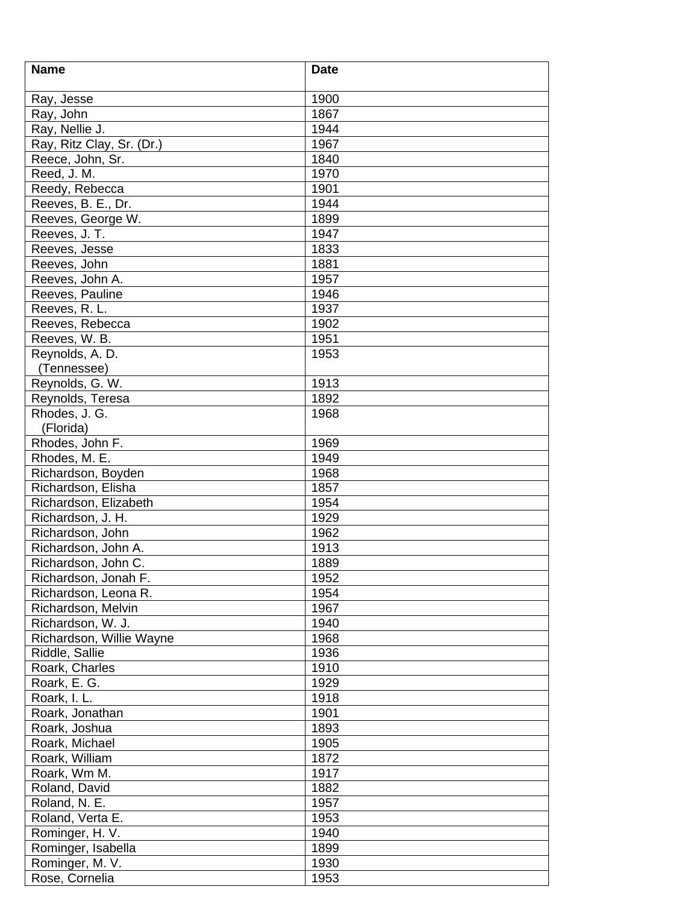| 1900<br>Ray, Jesse<br>Ray, John<br>1867<br>Ray, Nellie J.<br>1944<br>Ray, Ritz Clay, Sr. (Dr.)<br>1967<br>Reece, John, Sr.<br>1840<br>Reed, J. M.<br>1970<br>Reedy, Rebecca<br>1901<br>1944<br>Reeves, B. E., Dr.<br>Reeves, George W.<br>1899<br>Reeves, J. T.<br>1947<br>1833<br>Reeves, Jesse<br>1881<br>Reeves, John<br>1957<br>Reeves, John A.<br>1946<br>Reeves, Pauline<br>1937<br>Reeves, R. L.<br>1902<br>Reeves, Rebecca<br>Reeves, W. B.<br>1951<br>Reynolds, A. D.<br>1953<br>(Tennessee)<br>Reynolds, G. W.<br>1913<br>1892<br>Reynolds, Teresa<br>Rhodes, J. G.<br>1968<br>(Florida)<br>Rhodes, John F.<br>1969<br>Rhodes, M. E.<br>1949<br>Richardson, Boyden<br>1968<br>Richardson, Elisha<br>1857<br>1954<br>Richardson, Elizabeth<br>Richardson, J. H.<br>1929<br>Richardson, John<br>1962<br>Richardson, John A.<br>1913<br>Richardson, John C.<br>1889<br>1952<br>Richardson, Jonah F.<br>Richardson, Leona R.<br>1954<br>Richardson, Melvin<br>1967<br>Richardson, W. J.<br>1940<br>Richardson, Willie Wayne<br>1968<br>Riddle, Sallie<br>1936<br>Roark, Charles<br>1910<br>Roark, E. G.<br>1929<br>Roark, I. L.<br>1918<br>Roark, Jonathan<br>1901<br>Roark, Joshua<br>1893<br>1905<br>Roark, Michael<br>1872<br>Roark, William<br>Roark, Wm M.<br>1917<br>1882<br>Roland, David<br>Roland, N. E.<br>1957<br>Roland, Verta E.<br>1953<br>Rominger, H. V.<br>1940<br>Rominger, Isabella<br>1899<br>Rominger, M. V.<br>1930 | <b>Name</b>    | <b>Date</b> |
|-------------------------------------------------------------------------------------------------------------------------------------------------------------------------------------------------------------------------------------------------------------------------------------------------------------------------------------------------------------------------------------------------------------------------------------------------------------------------------------------------------------------------------------------------------------------------------------------------------------------------------------------------------------------------------------------------------------------------------------------------------------------------------------------------------------------------------------------------------------------------------------------------------------------------------------------------------------------------------------------------------------------------------------------------------------------------------------------------------------------------------------------------------------------------------------------------------------------------------------------------------------------------------------------------------------------------------------------------------------------------------------------------------------------------------------------------|----------------|-------------|
|                                                                                                                                                                                                                                                                                                                                                                                                                                                                                                                                                                                                                                                                                                                                                                                                                                                                                                                                                                                                                                                                                                                                                                                                                                                                                                                                                                                                                                                 |                |             |
|                                                                                                                                                                                                                                                                                                                                                                                                                                                                                                                                                                                                                                                                                                                                                                                                                                                                                                                                                                                                                                                                                                                                                                                                                                                                                                                                                                                                                                                 |                |             |
|                                                                                                                                                                                                                                                                                                                                                                                                                                                                                                                                                                                                                                                                                                                                                                                                                                                                                                                                                                                                                                                                                                                                                                                                                                                                                                                                                                                                                                                 |                |             |
|                                                                                                                                                                                                                                                                                                                                                                                                                                                                                                                                                                                                                                                                                                                                                                                                                                                                                                                                                                                                                                                                                                                                                                                                                                                                                                                                                                                                                                                 |                |             |
|                                                                                                                                                                                                                                                                                                                                                                                                                                                                                                                                                                                                                                                                                                                                                                                                                                                                                                                                                                                                                                                                                                                                                                                                                                                                                                                                                                                                                                                 |                |             |
|                                                                                                                                                                                                                                                                                                                                                                                                                                                                                                                                                                                                                                                                                                                                                                                                                                                                                                                                                                                                                                                                                                                                                                                                                                                                                                                                                                                                                                                 |                |             |
|                                                                                                                                                                                                                                                                                                                                                                                                                                                                                                                                                                                                                                                                                                                                                                                                                                                                                                                                                                                                                                                                                                                                                                                                                                                                                                                                                                                                                                                 |                |             |
|                                                                                                                                                                                                                                                                                                                                                                                                                                                                                                                                                                                                                                                                                                                                                                                                                                                                                                                                                                                                                                                                                                                                                                                                                                                                                                                                                                                                                                                 |                |             |
|                                                                                                                                                                                                                                                                                                                                                                                                                                                                                                                                                                                                                                                                                                                                                                                                                                                                                                                                                                                                                                                                                                                                                                                                                                                                                                                                                                                                                                                 |                |             |
|                                                                                                                                                                                                                                                                                                                                                                                                                                                                                                                                                                                                                                                                                                                                                                                                                                                                                                                                                                                                                                                                                                                                                                                                                                                                                                                                                                                                                                                 |                |             |
|                                                                                                                                                                                                                                                                                                                                                                                                                                                                                                                                                                                                                                                                                                                                                                                                                                                                                                                                                                                                                                                                                                                                                                                                                                                                                                                                                                                                                                                 |                |             |
|                                                                                                                                                                                                                                                                                                                                                                                                                                                                                                                                                                                                                                                                                                                                                                                                                                                                                                                                                                                                                                                                                                                                                                                                                                                                                                                                                                                                                                                 |                |             |
|                                                                                                                                                                                                                                                                                                                                                                                                                                                                                                                                                                                                                                                                                                                                                                                                                                                                                                                                                                                                                                                                                                                                                                                                                                                                                                                                                                                                                                                 |                |             |
|                                                                                                                                                                                                                                                                                                                                                                                                                                                                                                                                                                                                                                                                                                                                                                                                                                                                                                                                                                                                                                                                                                                                                                                                                                                                                                                                                                                                                                                 |                |             |
|                                                                                                                                                                                                                                                                                                                                                                                                                                                                                                                                                                                                                                                                                                                                                                                                                                                                                                                                                                                                                                                                                                                                                                                                                                                                                                                                                                                                                                                 |                |             |
|                                                                                                                                                                                                                                                                                                                                                                                                                                                                                                                                                                                                                                                                                                                                                                                                                                                                                                                                                                                                                                                                                                                                                                                                                                                                                                                                                                                                                                                 |                |             |
|                                                                                                                                                                                                                                                                                                                                                                                                                                                                                                                                                                                                                                                                                                                                                                                                                                                                                                                                                                                                                                                                                                                                                                                                                                                                                                                                                                                                                                                 |                |             |
|                                                                                                                                                                                                                                                                                                                                                                                                                                                                                                                                                                                                                                                                                                                                                                                                                                                                                                                                                                                                                                                                                                                                                                                                                                                                                                                                                                                                                                                 |                |             |
|                                                                                                                                                                                                                                                                                                                                                                                                                                                                                                                                                                                                                                                                                                                                                                                                                                                                                                                                                                                                                                                                                                                                                                                                                                                                                                                                                                                                                                                 |                |             |
|                                                                                                                                                                                                                                                                                                                                                                                                                                                                                                                                                                                                                                                                                                                                                                                                                                                                                                                                                                                                                                                                                                                                                                                                                                                                                                                                                                                                                                                 |                |             |
|                                                                                                                                                                                                                                                                                                                                                                                                                                                                                                                                                                                                                                                                                                                                                                                                                                                                                                                                                                                                                                                                                                                                                                                                                                                                                                                                                                                                                                                 |                |             |
|                                                                                                                                                                                                                                                                                                                                                                                                                                                                                                                                                                                                                                                                                                                                                                                                                                                                                                                                                                                                                                                                                                                                                                                                                                                                                                                                                                                                                                                 |                |             |
|                                                                                                                                                                                                                                                                                                                                                                                                                                                                                                                                                                                                                                                                                                                                                                                                                                                                                                                                                                                                                                                                                                                                                                                                                                                                                                                                                                                                                                                 |                |             |
|                                                                                                                                                                                                                                                                                                                                                                                                                                                                                                                                                                                                                                                                                                                                                                                                                                                                                                                                                                                                                                                                                                                                                                                                                                                                                                                                                                                                                                                 |                |             |
|                                                                                                                                                                                                                                                                                                                                                                                                                                                                                                                                                                                                                                                                                                                                                                                                                                                                                                                                                                                                                                                                                                                                                                                                                                                                                                                                                                                                                                                 |                |             |
|                                                                                                                                                                                                                                                                                                                                                                                                                                                                                                                                                                                                                                                                                                                                                                                                                                                                                                                                                                                                                                                                                                                                                                                                                                                                                                                                                                                                                                                 |                |             |
|                                                                                                                                                                                                                                                                                                                                                                                                                                                                                                                                                                                                                                                                                                                                                                                                                                                                                                                                                                                                                                                                                                                                                                                                                                                                                                                                                                                                                                                 |                |             |
|                                                                                                                                                                                                                                                                                                                                                                                                                                                                                                                                                                                                                                                                                                                                                                                                                                                                                                                                                                                                                                                                                                                                                                                                                                                                                                                                                                                                                                                 |                |             |
|                                                                                                                                                                                                                                                                                                                                                                                                                                                                                                                                                                                                                                                                                                                                                                                                                                                                                                                                                                                                                                                                                                                                                                                                                                                                                                                                                                                                                                                 |                |             |
|                                                                                                                                                                                                                                                                                                                                                                                                                                                                                                                                                                                                                                                                                                                                                                                                                                                                                                                                                                                                                                                                                                                                                                                                                                                                                                                                                                                                                                                 |                |             |
|                                                                                                                                                                                                                                                                                                                                                                                                                                                                                                                                                                                                                                                                                                                                                                                                                                                                                                                                                                                                                                                                                                                                                                                                                                                                                                                                                                                                                                                 |                |             |
|                                                                                                                                                                                                                                                                                                                                                                                                                                                                                                                                                                                                                                                                                                                                                                                                                                                                                                                                                                                                                                                                                                                                                                                                                                                                                                                                                                                                                                                 |                |             |
|                                                                                                                                                                                                                                                                                                                                                                                                                                                                                                                                                                                                                                                                                                                                                                                                                                                                                                                                                                                                                                                                                                                                                                                                                                                                                                                                                                                                                                                 |                |             |
|                                                                                                                                                                                                                                                                                                                                                                                                                                                                                                                                                                                                                                                                                                                                                                                                                                                                                                                                                                                                                                                                                                                                                                                                                                                                                                                                                                                                                                                 |                |             |
|                                                                                                                                                                                                                                                                                                                                                                                                                                                                                                                                                                                                                                                                                                                                                                                                                                                                                                                                                                                                                                                                                                                                                                                                                                                                                                                                                                                                                                                 |                |             |
|                                                                                                                                                                                                                                                                                                                                                                                                                                                                                                                                                                                                                                                                                                                                                                                                                                                                                                                                                                                                                                                                                                                                                                                                                                                                                                                                                                                                                                                 |                |             |
|                                                                                                                                                                                                                                                                                                                                                                                                                                                                                                                                                                                                                                                                                                                                                                                                                                                                                                                                                                                                                                                                                                                                                                                                                                                                                                                                                                                                                                                 |                |             |
|                                                                                                                                                                                                                                                                                                                                                                                                                                                                                                                                                                                                                                                                                                                                                                                                                                                                                                                                                                                                                                                                                                                                                                                                                                                                                                                                                                                                                                                 |                |             |
|                                                                                                                                                                                                                                                                                                                                                                                                                                                                                                                                                                                                                                                                                                                                                                                                                                                                                                                                                                                                                                                                                                                                                                                                                                                                                                                                                                                                                                                 |                |             |
|                                                                                                                                                                                                                                                                                                                                                                                                                                                                                                                                                                                                                                                                                                                                                                                                                                                                                                                                                                                                                                                                                                                                                                                                                                                                                                                                                                                                                                                 |                |             |
|                                                                                                                                                                                                                                                                                                                                                                                                                                                                                                                                                                                                                                                                                                                                                                                                                                                                                                                                                                                                                                                                                                                                                                                                                                                                                                                                                                                                                                                 |                |             |
|                                                                                                                                                                                                                                                                                                                                                                                                                                                                                                                                                                                                                                                                                                                                                                                                                                                                                                                                                                                                                                                                                                                                                                                                                                                                                                                                                                                                                                                 |                |             |
|                                                                                                                                                                                                                                                                                                                                                                                                                                                                                                                                                                                                                                                                                                                                                                                                                                                                                                                                                                                                                                                                                                                                                                                                                                                                                                                                                                                                                                                 |                |             |
|                                                                                                                                                                                                                                                                                                                                                                                                                                                                                                                                                                                                                                                                                                                                                                                                                                                                                                                                                                                                                                                                                                                                                                                                                                                                                                                                                                                                                                                 |                |             |
|                                                                                                                                                                                                                                                                                                                                                                                                                                                                                                                                                                                                                                                                                                                                                                                                                                                                                                                                                                                                                                                                                                                                                                                                                                                                                                                                                                                                                                                 |                |             |
|                                                                                                                                                                                                                                                                                                                                                                                                                                                                                                                                                                                                                                                                                                                                                                                                                                                                                                                                                                                                                                                                                                                                                                                                                                                                                                                                                                                                                                                 |                |             |
|                                                                                                                                                                                                                                                                                                                                                                                                                                                                                                                                                                                                                                                                                                                                                                                                                                                                                                                                                                                                                                                                                                                                                                                                                                                                                                                                                                                                                                                 |                |             |
|                                                                                                                                                                                                                                                                                                                                                                                                                                                                                                                                                                                                                                                                                                                                                                                                                                                                                                                                                                                                                                                                                                                                                                                                                                                                                                                                                                                                                                                 |                |             |
|                                                                                                                                                                                                                                                                                                                                                                                                                                                                                                                                                                                                                                                                                                                                                                                                                                                                                                                                                                                                                                                                                                                                                                                                                                                                                                                                                                                                                                                 |                |             |
|                                                                                                                                                                                                                                                                                                                                                                                                                                                                                                                                                                                                                                                                                                                                                                                                                                                                                                                                                                                                                                                                                                                                                                                                                                                                                                                                                                                                                                                 |                |             |
|                                                                                                                                                                                                                                                                                                                                                                                                                                                                                                                                                                                                                                                                                                                                                                                                                                                                                                                                                                                                                                                                                                                                                                                                                                                                                                                                                                                                                                                 |                |             |
|                                                                                                                                                                                                                                                                                                                                                                                                                                                                                                                                                                                                                                                                                                                                                                                                                                                                                                                                                                                                                                                                                                                                                                                                                                                                                                                                                                                                                                                 |                |             |
|                                                                                                                                                                                                                                                                                                                                                                                                                                                                                                                                                                                                                                                                                                                                                                                                                                                                                                                                                                                                                                                                                                                                                                                                                                                                                                                                                                                                                                                 |                |             |
|                                                                                                                                                                                                                                                                                                                                                                                                                                                                                                                                                                                                                                                                                                                                                                                                                                                                                                                                                                                                                                                                                                                                                                                                                                                                                                                                                                                                                                                 | Rose, Cornelia | 1953        |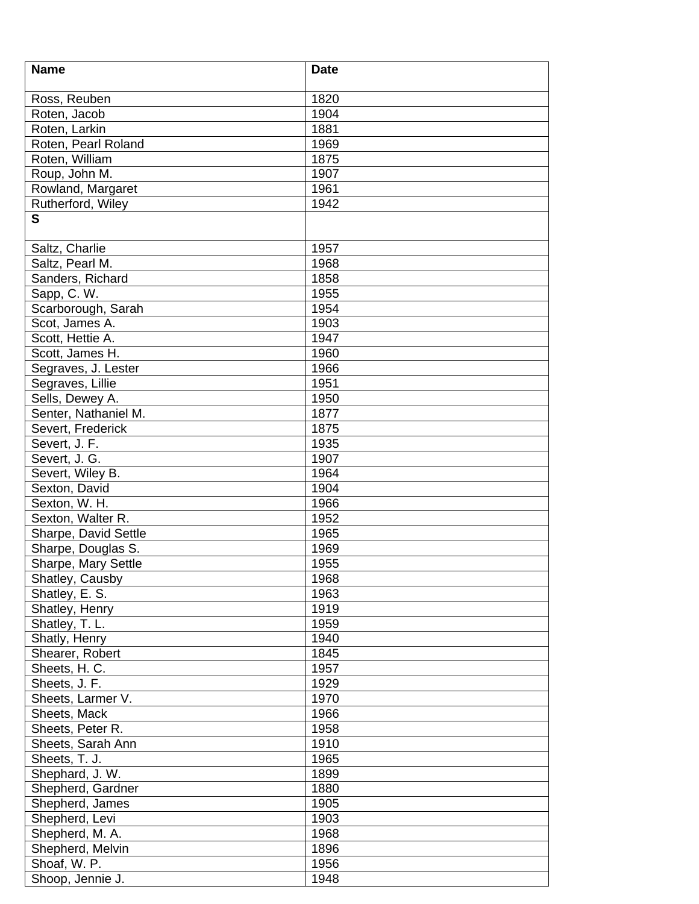| <b>Name</b>          | <b>Date</b> |
|----------------------|-------------|
|                      |             |
| Ross, Reuben         | 1820        |
| Roten, Jacob         | 1904        |
| Roten, Larkin        | 1881        |
| Roten, Pearl Roland  | 1969        |
| Roten, William       | 1875        |
| Roup, John M.        | 1907        |
| Rowland, Margaret    | 1961        |
| Rutherford, Wiley    | 1942        |
| S                    |             |
| Saltz, Charlie       | 1957        |
| Saltz, Pearl M.      | 1968        |
| Sanders, Richard     | 1858        |
| Sapp, C.W.           | 1955        |
| Scarborough, Sarah   | 1954        |
| Scot, James A.       | 1903        |
| Scott, Hettie A.     | 1947        |
| Scott, James H.      | 1960        |
| Segraves, J. Lester  | 1966        |
| Segraves, Lillie     | 1951        |
| Sells, Dewey A.      | 1950        |
| Senter, Nathaniel M. | 1877        |
| Severt, Frederick    | 1875        |
| Severt, J. F.        | 1935        |
| Severt, J. G.        | 1907        |
| Severt, Wiley B.     | 1964        |
| Sexton, David        | 1904        |
| Sexton, W. H.        | 1966        |
| Sexton, Walter R.    | 1952        |
| Sharpe, David Settle | 1965        |
| Sharpe, Douglas S.   | 1969        |
| Sharpe, Mary Settle  | 1955        |
| Shatley, Causby      | 1968        |
| Shatley, E. S.       | 1963        |
| Shatley, Henry       | 1919        |
| Shatley, T. L.       | 1959        |
| Shatly, Henry        | 1940        |
| Shearer, Robert      | 1845        |
| Sheets, H. C.        | 1957        |
| Sheets, J. F.        | 1929        |
| Sheets, Larmer V.    | 1970        |
| Sheets, Mack         | 1966        |
| Sheets, Peter R.     | 1958        |
| Sheets, Sarah Ann    | 1910        |
| Sheets, T. J.        | 1965        |
| Shephard, J. W.      | 1899        |
| Shepherd, Gardner    | 1880        |
| Shepherd, James      | 1905        |
| Shepherd, Levi       | 1903        |
| Shepherd, M. A.      | 1968        |
| Shepherd, Melvin     | 1896        |
| Shoaf, W. P.         | 1956        |
| Shoop, Jennie J.     | 1948        |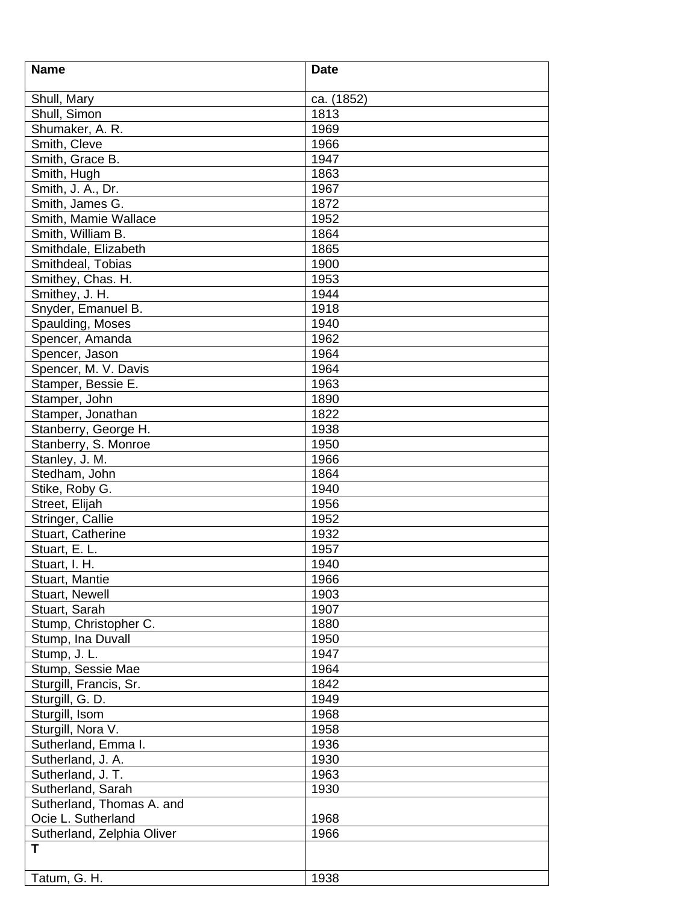| <b>Name</b>                        | <b>Date</b> |
|------------------------------------|-------------|
| Shull, Mary                        | ca. (1852)  |
| Shull, Simon                       | 1813        |
| Shumaker, A. R.                    | 1969        |
| Smith, Cleve                       | 1966        |
| Smith, Grace B.                    | 1947        |
| Smith, Hugh                        | 1863        |
| Smith, J. A., Dr.                  | 1967        |
| Smith, James G.                    | 1872        |
| Smith, Mamie Wallace               | 1952        |
| Smith, William B.                  | 1864        |
| Smithdale, Elizabeth               | 1865        |
| Smithdeal, Tobias                  | 1900        |
| Smithey, Chas. H.                  | 1953        |
| Smithey, J. H.                     | 1944        |
| Snyder, Emanuel B.                 | 1918        |
| Spaulding, Moses                   | 1940        |
| Spencer, Amanda                    | 1962        |
| Spencer, Jason                     | 1964        |
| Spencer, M. V. Davis               | 1964        |
| Stamper, Bessie E.                 | 1963        |
|                                    | 1890        |
| Stamper, John<br>Stamper, Jonathan | 1822        |
|                                    |             |
| Stanberry, George H.               | 1938        |
| Stanberry, S. Monroe               | 1950        |
| Stanley, J. M.                     | 1966        |
| Stedham, John                      | 1864        |
| Stike, Roby G.                     | 1940        |
| Street, Elijah                     | 1956        |
| Stringer, Callie                   | 1952        |
| Stuart, Catherine                  | 1932        |
| Stuart, E. L.                      | 1957        |
| Stuart, I. H.                      | 1940        |
| Stuart, Mantie                     | 1966        |
| Stuart, Newell                     | 1903        |
| Stuart, Sarah                      | 1907        |
| Stump, Christopher C.              | 1880        |
| Stump, Ina Duvall                  | 1950        |
| Stump, J. L.                       | 1947        |
| Stump, Sessie Mae                  | 1964        |
| Sturgill, Francis, Sr.             | 1842        |
| Sturgill, G. D.                    | 1949        |
| Sturgill, Isom                     | 1968        |
| Sturgill, Nora V.                  | 1958        |
| Sutherland, Emma I.                | 1936        |
| Sutherland, J. A.                  | 1930        |
| Sutherland, J. T.                  | 1963        |
| Sutherland, Sarah                  | 1930        |
| Sutherland, Thomas A. and          |             |
| Ocie L. Sutherland                 | 1968        |
| Sutherland, Zelphia Oliver         | 1966        |
| т                                  |             |
| Tatum, G. H.                       | 1938        |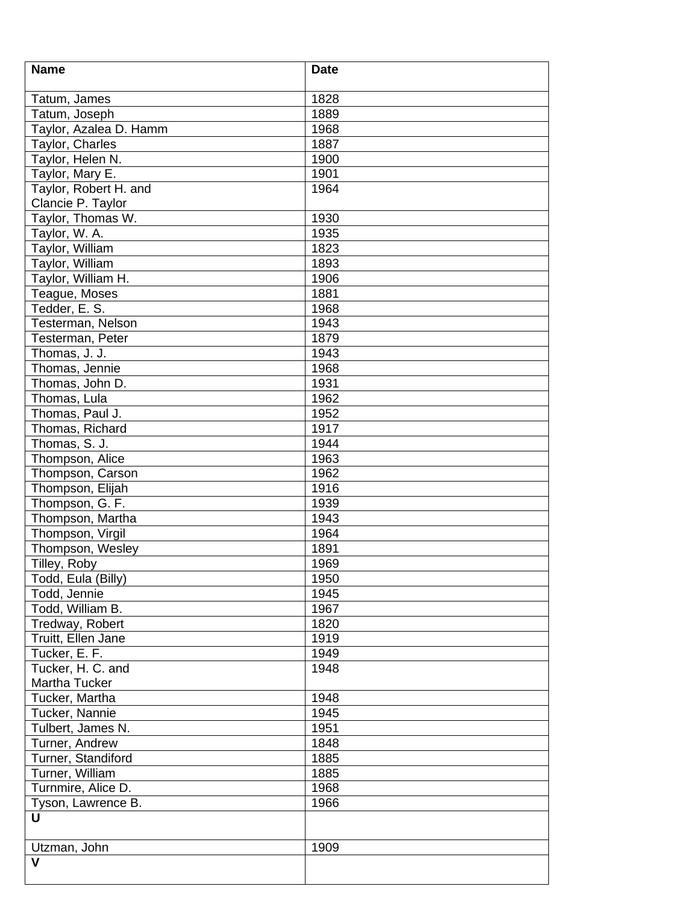| <b>Name</b>            | <b>Date</b> |
|------------------------|-------------|
| Tatum, James           | 1828        |
| Tatum, Joseph          | 1889        |
| Taylor, Azalea D. Hamm | 1968        |
| Taylor, Charles        | 1887        |
| Taylor, Helen N.       | 1900        |
| Taylor, Mary E.        | 1901        |
| Taylor, Robert H. and  | 1964        |
| Clancie P. Taylor      |             |
| Taylor, Thomas W.      | 1930        |
| Taylor, W. A.          | 1935        |
| Taylor, William        | 1823        |
| Taylor, William        | 1893        |
| Taylor, William H.     | 1906        |
| Teague, Moses          | 1881        |
| Tedder, E. S.          | 1968        |
| Testerman, Nelson      | 1943        |
| Testerman, Peter       | 1879        |
| Thomas, J. J.          | 1943        |
| Thomas, Jennie         | 1968        |
| Thomas, John D.        | 1931        |
| Thomas, Lula           | 1962        |
| Thomas, Paul J.        | 1952        |
| Thomas, Richard        | 1917        |
| Thomas, S. J.          | 1944        |
| Thompson, Alice        | 1963        |
| Thompson, Carson       | 1962        |
| Thompson, Elijah       | 1916        |
| Thompson, G. F.        | 1939        |
| Thompson, Martha       | 1943        |
| Thompson, Virgil       | 1964        |
| Thompson, Wesley       | 1891        |
| Tilley, Roby           | 1969        |
| Todd, Eula (Billy)     | 1950        |
| Todd, Jennie           | 1945        |
| Todd, William B.       | 1967        |
| Tredway, Robert        | 1820        |
| Truitt, Ellen Jane     | 1919        |
| Tucker, E. F.          | 1949        |
| Tucker, H. C. and      | 1948        |
| Martha Tucker          |             |
| Tucker, Martha         | 1948        |
| Tucker, Nannie         | 1945        |
| Tulbert, James N.      | 1951        |
| Turner, Andrew         | 1848        |
| Turner, Standiford     | 1885        |
| Turner, William        | 1885        |
| Turnmire, Alice D.     | 1968        |
| Tyson, Lawrence B.     | 1966        |
| U                      |             |
|                        |             |
| Utzman, John           | 1909        |
| $\mathbf v$            |             |
|                        |             |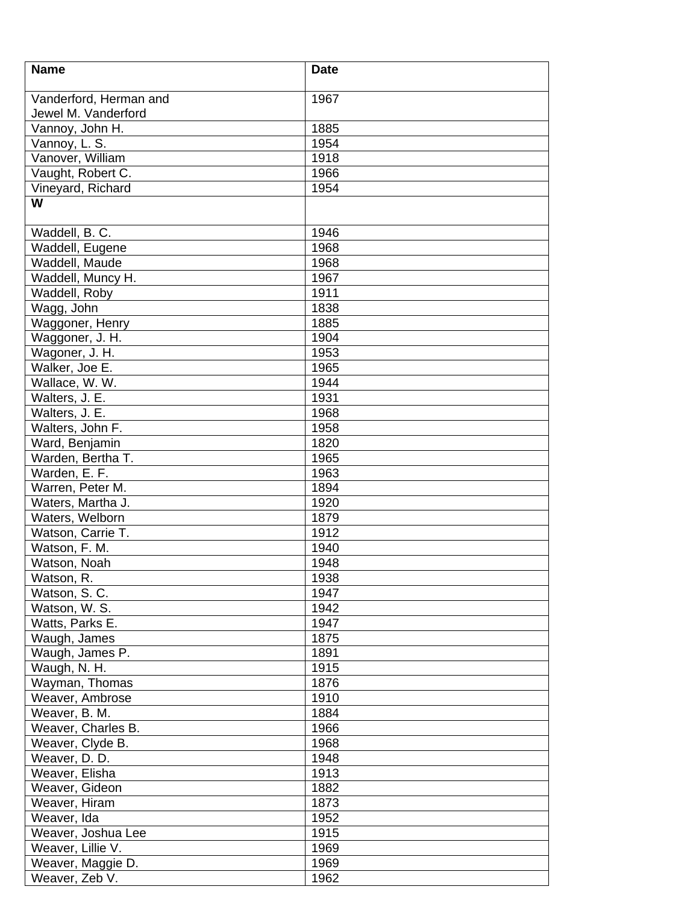| <b>Name</b>            | <b>Date</b> |
|------------------------|-------------|
| Vanderford, Herman and | 1967        |
| Jewel M. Vanderford    |             |
| Vannoy, John H.        | 1885        |
| Vannoy, L. S.          | 1954        |
| Vanover, William       | 1918        |
| Vaught, Robert C.      | 1966        |
| Vineyard, Richard      | 1954        |
| W                      |             |
| Waddell, B. C.         | 1946        |
| Waddell, Eugene        | 1968        |
| Waddell, Maude         | 1968        |
| Waddell, Muncy H.      | 1967        |
| Waddell, Roby          | 1911        |
| Wagg, John             | 1838        |
| Waggoner, Henry        | 1885        |
| Waggoner, J. H.        | 1904        |
| Wagoner, J. H.         | 1953        |
| Walker, Joe E.         | 1965        |
| Wallace, W. W.         | 1944        |
| Walters, J. E.         | 1931        |
| Walters, J. E.         | 1968        |
| Walters, John F.       | 1958        |
| Ward, Benjamin         | 1820        |
| Warden, Bertha T.      | 1965        |
| Warden, E. F.          | 1963        |
| Warren, Peter M.       | 1894        |
| Waters, Martha J.      | 1920        |
| Waters, Welborn        | 1879        |
| Watson, Carrie T.      | 1912        |
| Watson, F. M.          | 1940        |
| Watson, Noah           | 1948        |
| Watson, R.             | 1938        |
| Watson, S. C.          | 1947        |
| Watson, W. S.          | 1942        |
| Watts, Parks E.        | 1947        |
| Waugh, James           | 1875        |
| Waugh, James P.        | 1891        |
| Waugh, N. H.           | 1915        |
| Wayman, Thomas         | 1876        |
| Weaver, Ambrose        | 1910        |
| Weaver, B. M.          | 1884        |
| Weaver, Charles B.     | 1966        |
| Weaver, Clyde B.       | 1968        |
| Weaver, D. D.          | 1948        |
| Weaver, Elisha         | 1913        |
| Weaver, Gideon         | 1882        |
| Weaver, Hiram          | 1873        |
| Weaver, Ida            | 1952        |
| Weaver, Joshua Lee     | 1915        |
| Weaver, Lillie V.      | 1969        |
| Weaver, Maggie D.      | 1969        |
| Weaver, Zeb V.         | 1962        |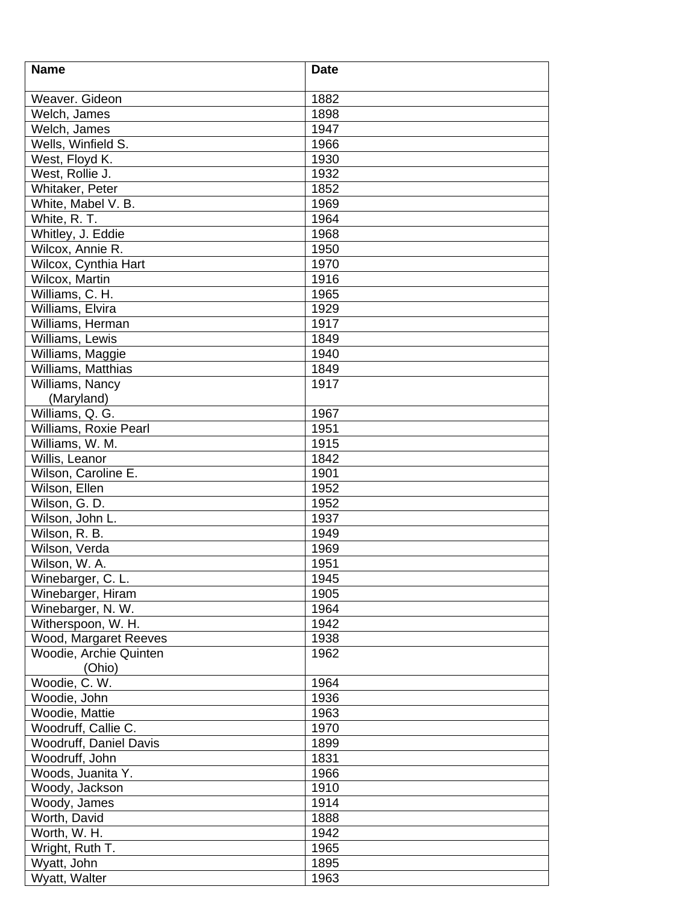| <b>Name</b>            | <b>Date</b> |
|------------------------|-------------|
|                        |             |
| Weaver. Gideon         | 1882        |
| Welch, James           | 1898        |
| Welch, James           | 1947        |
| Wells, Winfield S.     | 1966        |
| West, Floyd K.         | 1930        |
| West, Rollie J.        | 1932        |
| Whitaker, Peter        | 1852        |
| White, Mabel V. B.     | 1969        |
| White, R. T.           | 1964        |
| Whitley, J. Eddie      | 1968        |
| Wilcox, Annie R.       | 1950        |
| Wilcox, Cynthia Hart   | 1970        |
| Wilcox, Martin         | 1916        |
| Williams, C. H.        | 1965        |
| Williams, Elvira       | 1929        |
| Williams, Herman       | 1917        |
| Williams, Lewis        | 1849        |
| Williams, Maggie       | 1940        |
| Williams, Matthias     | 1849        |
| Williams, Nancy        | 1917        |
| (Maryland)             |             |
| Williams, Q. G.        | 1967        |
| Williams, Roxie Pearl  | 1951        |
| Williams, W. M.        | 1915        |
| Willis, Leanor         | 1842        |
| Wilson, Caroline E.    | 1901        |
| Wilson, Ellen          | 1952        |
| Wilson, G. D.          | 1952        |
| Wilson, John L.        | 1937        |
| Wilson, R. B.          | 1949        |
| Wilson, Verda          | 1969        |
| Wilson, W. A.          | 1951        |
| Winebarger, C. L.      | 1945        |
| Winebarger, Hiram      | 1905        |
| Winebarger, N. W.      | 1964        |
| Witherspoon, W. H.     | 1942        |
| Wood, Margaret Reeves  | 1938        |
| Woodie, Archie Quinten | 1962        |
| (Ohio)                 |             |
| Woodie, C. W.          | 1964        |
| Woodie, John           | 1936        |
| Woodie, Mattie         | 1963        |
| Woodruff, Callie C.    | 1970        |
| Woodruff, Daniel Davis | 1899        |
| Woodruff, John         | 1831        |
| Woods, Juanita Y.      | 1966        |
| Woody, Jackson         | 1910        |
| Woody, James           | 1914        |
| Worth, David           | 1888        |
| Worth, W. H.           | 1942        |
| Wright, Ruth T.        | 1965        |
| Wyatt, John            | 1895        |
| Wyatt, Walter          | 1963        |